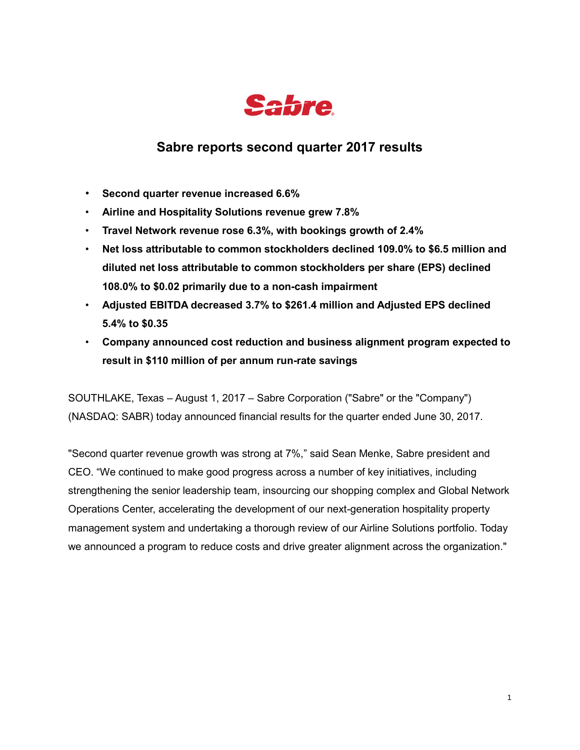

# **Sabre reports second quarter 2017 results**

- **Second quarter revenue increased 6.6%**
- **Airline and Hospitality Solutions revenue grew 7.8%**
- **Travel Network revenue rose 6.3%, with bookings growth of 2.4%**
- **Net loss attributable to common stockholders declined 109.0% to \$6.5 million and diluted net loss attributable to common stockholders per share (EPS) declined 108.0% to \$0.02 primarily due to a non-cash impairment**
- **Adjusted EBITDA decreased 3.7% to \$261.4 million and Adjusted EPS declined 5.4% to \$0.35**
- **Company announced cost reduction and business alignment program expected to result in \$110 million of per annum run-rate savings**

SOUTHLAKE, Texas – August 1, 2017 – Sabre Corporation ("Sabre" or the "Company") (NASDAQ: SABR) today announced financial results for the quarter ended June 30, 2017.

"Second quarter revenue growth was strong at 7%," said Sean Menke, Sabre president and CEO. "We continued to make good progress across a number of key initiatives, including strengthening the senior leadership team, insourcing our shopping complex and Global Network Operations Center, accelerating the development of our next-generation hospitality property management system and undertaking a thorough review of our Airline Solutions portfolio. Today we announced a program to reduce costs and drive greater alignment across the organization."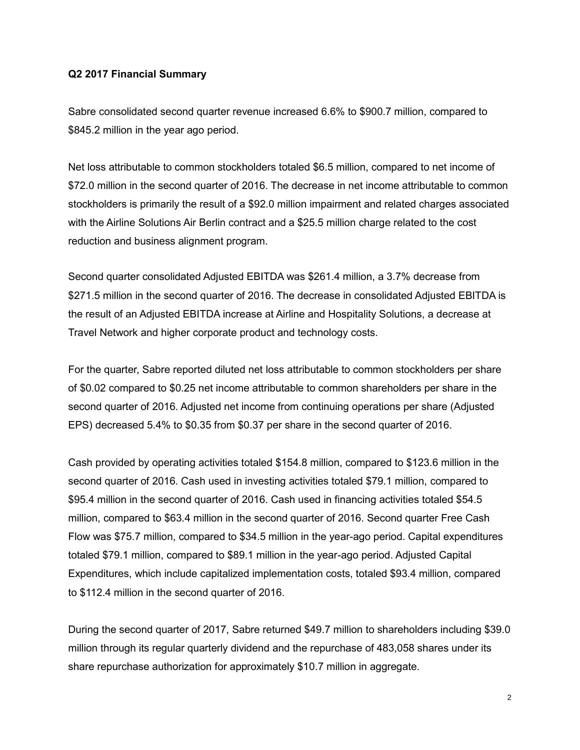#### **Q2 2017 Financial Summary**

Sabre consolidated second quarter revenue increased 6.6% to \$900.7 million, compared to \$845.2 million in the year ago period.

Net loss attributable to common stockholders totaled \$6.5 million, compared to net income of \$72.0 million in the second quarter of 2016. The decrease in net income attributable to common stockholders is primarily the result of a \$92.0 million impairment and related charges associated with the Airline Solutions Air Berlin contract and a \$25.5 million charge related to the cost reduction and business alignment program.

Second quarter consolidated Adjusted EBITDA was \$261.4 million, a 3.7% decrease from \$271.5 million in the second quarter of 2016. The decrease in consolidated Adjusted EBITDA is the result of an Adjusted EBITDA increase at Airline and Hospitality Solutions, a decrease at Travel Network and higher corporate product and technology costs.

For the quarter, Sabre reported diluted net loss attributable to common stockholders per share of \$0.02 compared to \$0.25 net income attributable to common shareholders per share in the second quarter of 2016. Adjusted net income from continuing operations per share (Adjusted EPS) decreased 5.4% to \$0.35 from \$0.37 per share in the second quarter of 2016.

Cash provided by operating activities totaled \$154.8 million, compared to \$123.6 million in the second quarter of 2016. Cash used in investing activities totaled \$79.1 million, compared to \$95.4 million in the second quarter of 2016. Cash used in financing activities totaled \$54.5 million, compared to \$63.4 million in the second quarter of 2016. Second quarter Free Cash Flow was \$75.7 million, compared to \$34.5 million in the year-ago period. Capital expenditures totaled \$79.1 million, compared to \$89.1 million in the year-ago period. Adjusted Capital Expenditures, which include capitalized implementation costs, totaled \$93.4 million, compared to \$112.4 million in the second quarter of 2016.

During the second quarter of 2017, Sabre returned \$49.7 million to shareholders including \$39.0 million through its regular quarterly dividend and the repurchase of 483,058 shares under its share repurchase authorization for approximately \$10.7 million in aggregate.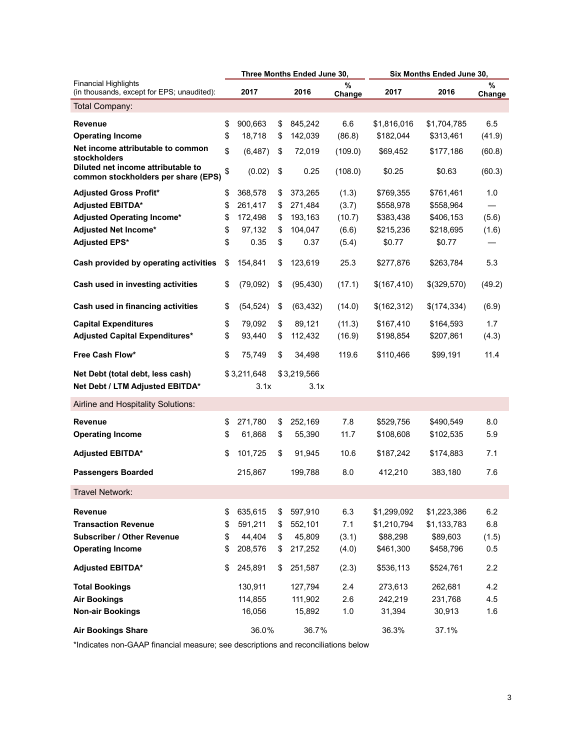|                                                                           |          |                     |          | Three Months Ended June 30, |             | Six Months Ended June 30, |                        |             |
|---------------------------------------------------------------------------|----------|---------------------|----------|-----------------------------|-------------|---------------------------|------------------------|-------------|
| <b>Financial Highlights</b><br>(in thousands, except for EPS; unaudited): |          | 2017                |          | 2016                        | %<br>Change | 2017                      | 2016                   | %<br>Change |
| Total Company:                                                            |          |                     |          |                             |             |                           |                        |             |
| <b>Revenue</b>                                                            | \$       | 900,663             | \$       | 845,242                     | 6.6         | \$1,816,016               | \$1,704,785            | 6.5         |
| <b>Operating Income</b>                                                   | \$       | 18,718              | \$       | 142,039                     | (86.8)      | \$182,044                 | \$313,461              | (41.9)      |
| Net income attributable to common<br>stockholders                         | \$       | (6, 487)            | \$       | 72,019                      | (109.0)     | \$69,452                  | \$177,186              | (60.8)      |
| Diluted net income attributable to<br>common stockholders per share (EPS) | \$       | (0.02)              | \$       | 0.25                        | (108.0)     | \$0.25                    | \$0.63                 | (60.3)      |
| <b>Adjusted Gross Profit*</b>                                             | \$       | 368,578             | \$       | 373,265                     | (1.3)       | \$769,355                 | \$761,461              | 1.0         |
| <b>Adjusted EBITDA*</b>                                                   | \$       | 261,417             | \$       | 271,484                     | (3.7)       | \$558,978                 | \$558,964              |             |
| Adjusted Operating Income*                                                | \$       | 172,498             | \$       | 193,163                     | (10.7)      | \$383,438                 | \$406,153              | (5.6)       |
| Adjusted Net Income*                                                      | \$       | 97,132              | \$       | 104,047                     | (6.6)       | \$215,236                 | \$218,695              | (1.6)       |
| <b>Adjusted EPS*</b>                                                      | \$       | 0.35                | \$       | 0.37                        | (5.4)       | \$0.77                    | \$0.77                 |             |
| Cash provided by operating activities                                     | \$       | 154,841             | \$       | 123,619                     | 25.3        | \$277,876                 | \$263,784              | 5.3         |
| Cash used in investing activities                                         | \$       | (79,092)            | \$       | (95, 430)                   | (17.1)      | \$(167,410)               | \$(329,570)            | (49.2)      |
| Cash used in financing activities                                         | \$       | (54, 524)           | \$       | (63, 432)                   | (14.0)      | \$(162,312)               | \$(174,334)            | (6.9)       |
| <b>Capital Expenditures</b>                                               | \$       | 79.092              | \$       | 89,121                      | (11.3)      | \$167,410                 | \$164,593              | 1.7         |
| Adjusted Capital Expenditures*                                            | \$       | 93,440              | \$       | 112,432                     | (16.9)      | \$198,854                 | \$207,861              | (4.3)       |
| Free Cash Flow*                                                           | \$       | 75,749              | \$       | 34,498                      | 119.6       | \$110,466                 | \$99,191               | 11.4        |
| Net Debt (total debt, less cash)<br>Net Debt / LTM Adjusted EBITDA*       |          | \$3,211,648<br>3.1x |          | \$3,219,566<br>3.1x         |             |                           |                        |             |
| Airline and Hospitality Solutions:                                        |          |                     |          |                             |             |                           |                        |             |
| <b>Revenue</b><br><b>Operating Income</b>                                 | \$<br>\$ | 271,780<br>61,868   | \$<br>\$ | 252,169<br>55,390           | 7.8<br>11.7 | \$529,756<br>\$108,608    | \$490,549<br>\$102,535 | 8.0<br>5.9  |
| <b>Adjusted EBITDA*</b>                                                   | \$       | 101,725             | \$       | 91,945                      | 10.6        | \$187,242                 | \$174,883              | 7.1         |
| <b>Passengers Boarded</b>                                                 |          | 215,867             |          | 199,788                     | 8.0         | 412,210                   | 383,180                | 7.6         |
| Travel Network:                                                           |          |                     |          |                             |             |                           |                        |             |
| <b>Revenue</b>                                                            | \$       | 635,615             | \$       | 597,910                     | 6.3         | \$1,299,092               | \$1,223,386            | 6.2         |
| <b>Transaction Revenue</b>                                                | \$       | 591,211             | \$       | 552,101                     | 7.1         | \$1,210,794               | \$1,133,783            | 6.8         |
| <b>Subscriber / Other Revenue</b>                                         | \$       | 44,404              | \$       | 45,809                      | (3.1)       | \$88,298                  | \$89,603               | (1.5)       |
| <b>Operating Income</b>                                                   | \$       | 208,576             | \$       | 217,252                     | (4.0)       | \$461,300                 | \$458,796              | 0.5         |
| <b>Adjusted EBITDA*</b>                                                   | \$       | 245,891             | \$       | 251,587                     | (2.3)       | \$536,113                 | \$524,761              | 2.2         |
| <b>Total Bookings</b>                                                     |          | 130,911             |          | 127,794                     | 2.4         | 273,613                   | 262,681                | 4.2         |
|                                                                           |          |                     |          |                             |             |                           |                        |             |
| <b>Air Bookings</b>                                                       |          | 114,855             |          | 111,902                     | 2.6         | 242,219                   | 231,768                | 4.5         |
| <b>Non-air Bookings</b>                                                   |          | 16,056              |          | 15,892                      | 1.0         | 31,394                    | 30,913                 | 1.6         |
| <b>Air Bookings Share</b>                                                 |          | 36.0%               |          | 36.7%                       |             | 36.3%                     | 37.1%                  |             |

\*Indicates non-GAAP financial measure; see descriptions and reconciliations below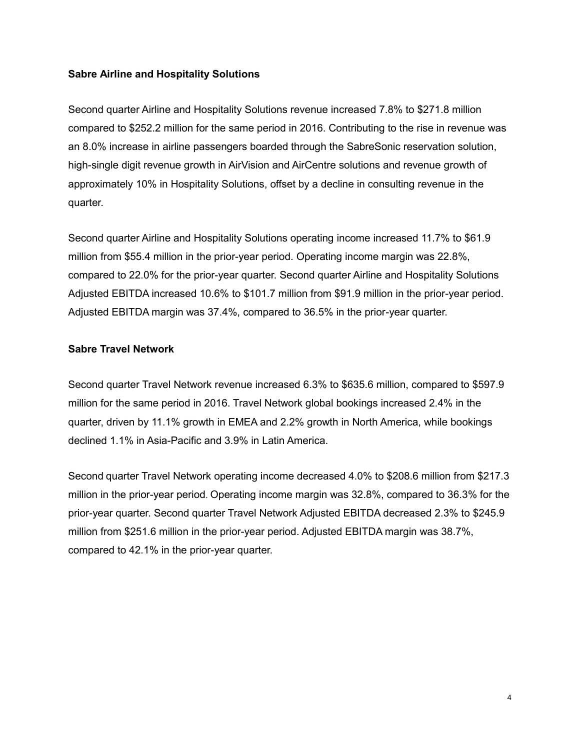### **Sabre Airline and Hospitality Solutions**

Second quarter Airline and Hospitality Solutions revenue increased 7.8% to \$271.8 million compared to \$252.2 million for the same period in 2016. Contributing to the rise in revenue was an 8.0% increase in airline passengers boarded through the SabreSonic reservation solution, high-single digit revenue growth in AirVision and AirCentre solutions and revenue growth of approximately 10% in Hospitality Solutions, offset by a decline in consulting revenue in the quarter.

Second quarter Airline and Hospitality Solutions operating income increased 11.7% to \$61.9 million from \$55.4 million in the prior-year period. Operating income margin was 22.8%, compared to 22.0% for the prior-year quarter. Second quarter Airline and Hospitality Solutions Adjusted EBITDA increased 10.6% to \$101.7 million from \$91.9 million in the prior-year period. Adjusted EBITDA margin was 37.4%, compared to 36.5% in the prior-year quarter.

### **Sabre Travel Network**

Second quarter Travel Network revenue increased 6.3% to \$635.6 million, compared to \$597.9 million for the same period in 2016. Travel Network global bookings increased 2.4% in the quarter, driven by 11.1% growth in EMEA and 2.2% growth in North America, while bookings declined 1.1% in Asia-Pacific and 3.9% in Latin America.

Second quarter Travel Network operating income decreased 4.0% to \$208.6 million from \$217.3 million in the prior-year period. Operating income margin was 32.8%, compared to 36.3% for the prior-year quarter. Second quarter Travel Network Adjusted EBITDA decreased 2.3% to \$245.9 million from \$251.6 million in the prior-year period. Adjusted EBITDA margin was 38.7%, compared to 42.1% in the prior-year quarter.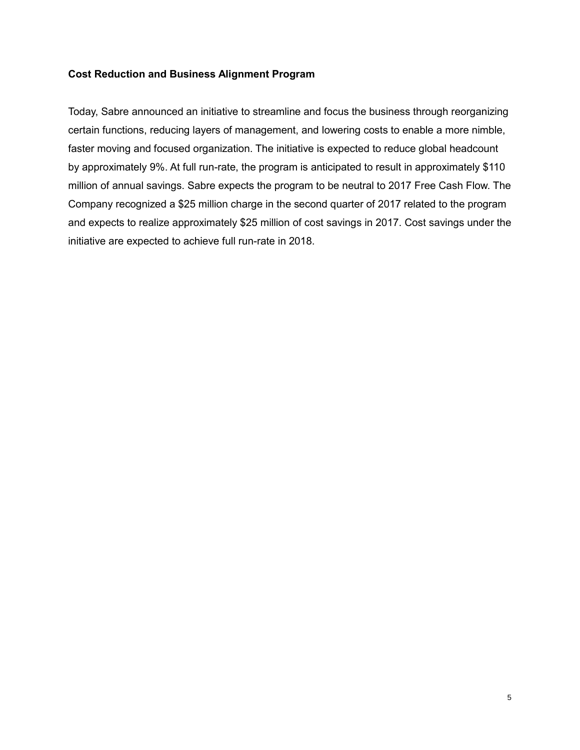### **Cost Reduction and Business Alignment Program**

Today, Sabre announced an initiative to streamline and focus the business through reorganizing certain functions, reducing layers of management, and lowering costs to enable a more nimble, faster moving and focused organization. The initiative is expected to reduce global headcount by approximately 9%. At full run-rate, the program is anticipated to result in approximately \$110 million of annual savings. Sabre expects the program to be neutral to 2017 Free Cash Flow. The Company recognized a \$25 million charge in the second quarter of 2017 related to the program and expects to realize approximately \$25 million of cost savings in 2017. Cost savings under the initiative are expected to achieve full run-rate in 2018.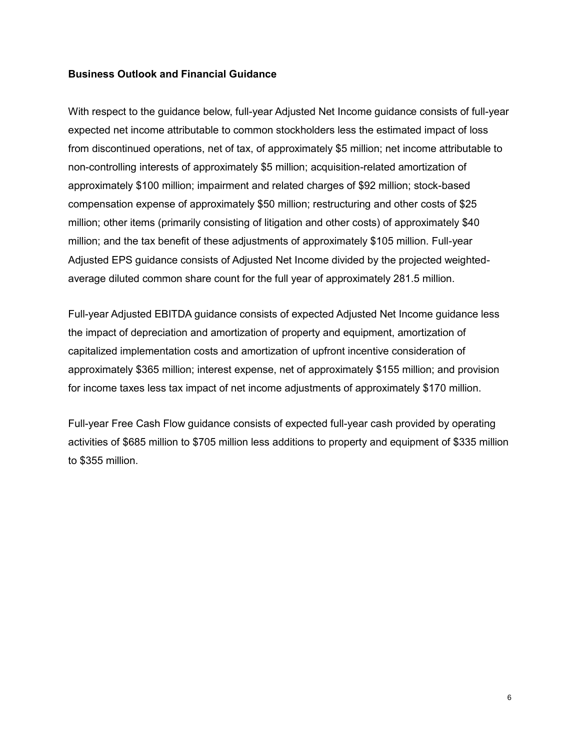### **Business Outlook and Financial Guidance**

With respect to the guidance below, full-year Adjusted Net Income guidance consists of full-year expected net income attributable to common stockholders less the estimated impact of loss from discontinued operations, net of tax, of approximately \$5 million; net income attributable to non-controlling interests of approximately \$5 million; acquisition-related amortization of approximately \$100 million; impairment and related charges of \$92 million; stock-based compensation expense of approximately \$50 million; restructuring and other costs of \$25 million; other items (primarily consisting of litigation and other costs) of approximately \$40 million; and the tax benefit of these adjustments of approximately \$105 million. Full-year Adjusted EPS guidance consists of Adjusted Net Income divided by the projected weightedaverage diluted common share count for the full year of approximately 281.5 million.

Full-year Adjusted EBITDA guidance consists of expected Adjusted Net Income guidance less the impact of depreciation and amortization of property and equipment, amortization of capitalized implementation costs and amortization of upfront incentive consideration of approximately \$365 million; interest expense, net of approximately \$155 million; and provision for income taxes less tax impact of net income adjustments of approximately \$170 million.

Full-year Free Cash Flow guidance consists of expected full-year cash provided by operating activities of \$685 million to \$705 million less additions to property and equipment of \$335 million to \$355 million.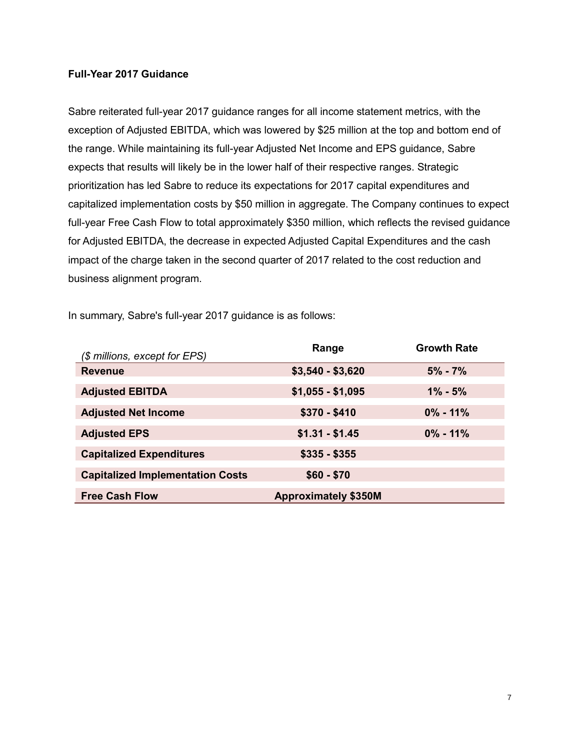### **Full-Year 2017 Guidance**

Sabre reiterated full-year 2017 guidance ranges for all income statement metrics, with the exception of Adjusted EBITDA, which was lowered by \$25 million at the top and bottom end of the range. While maintaining its full-year Adjusted Net Income and EPS guidance, Sabre expects that results will likely be in the lower half of their respective ranges. Strategic prioritization has led Sabre to reduce its expectations for 2017 capital expenditures and capitalized implementation costs by \$50 million in aggregate. The Company continues to expect full-year Free Cash Flow to total approximately \$350 million, which reflects the revised guidance for Adjusted EBITDA, the decrease in expected Adjusted Capital Expenditures and the cash impact of the charge taken in the second quarter of 2017 related to the cost reduction and business alignment program.

In summary, Sabre's full-year 2017 guidance is as follows:

| (\$ millions, except for EPS)           | Range                       | <b>Growth Rate</b> |
|-----------------------------------------|-----------------------------|--------------------|
| <b>Revenue</b>                          | $$3,540 - $3,620$           | $5\% - 7\%$        |
| <b>Adjusted EBITDA</b>                  | $$1,055 - $1,095$           | $1\% - 5\%$        |
| <b>Adjusted Net Income</b>              | $$370 - $410$               | $0\% - 11\%$       |
| <b>Adjusted EPS</b>                     | $$1.31 - $1.45$             | $0\% - 11\%$       |
| <b>Capitalized Expenditures</b>         | $$335 - $355$               |                    |
| <b>Capitalized Implementation Costs</b> | $$60 - $70$                 |                    |
| <b>Free Cash Flow</b>                   | <b>Approximately \$350M</b> |                    |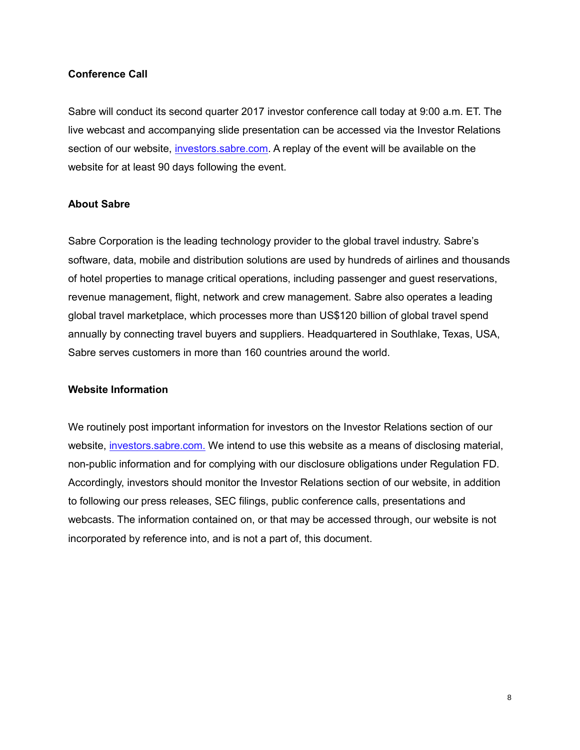### **Conference Call**

Sabre will conduct its second quarter 2017 investor conference call today at 9:00 a.m. ET. The live webcast and accompanying slide presentation can be accessed via the Investor Relations section of our website, investors.sabre.com. A replay of the event will be available on the website for at least 90 days following the event.

### **About Sabre**

Sabre Corporation is the leading technology provider to the global travel industry. Sabre's software, data, mobile and distribution solutions are used by hundreds of airlines and thousands of hotel properties to manage critical operations, including passenger and guest reservations, revenue management, flight, network and crew management. Sabre also operates a leading global travel marketplace, which processes more than US\$120 billion of global travel spend annually by connecting travel buyers and suppliers. Headquartered in Southlake, Texas, USA, Sabre serves customers in more than 160 countries around the world.

### **Website Information**

We routinely post important information for investors on the Investor Relations section of our website, investors.sabre.com. We intend to use this website as a means of disclosing material, non-public information and for complying with our disclosure obligations under Regulation FD. Accordingly, investors should monitor the Investor Relations section of our website, in addition to following our press releases, SEC filings, public conference calls, presentations and webcasts. The information contained on, or that may be accessed through, our website is not incorporated by reference into, and is not a part of, this document.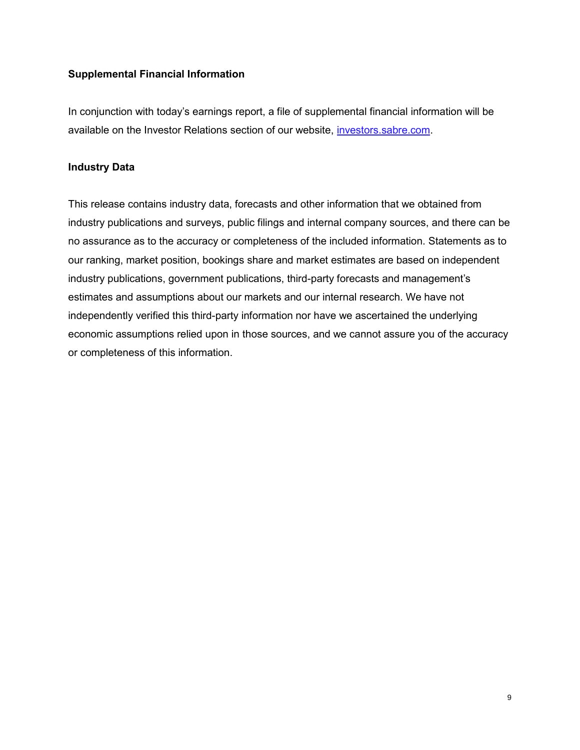### **Supplemental Financial Information**

In conjunction with today's earnings report, a file of supplemental financial information will be available on the Investor Relations section of our website, *investors.sabre.com.* 

### **Industry Data**

This release contains industry data, forecasts and other information that we obtained from industry publications and surveys, public filings and internal company sources, and there can be no assurance as to the accuracy or completeness of the included information. Statements as to our ranking, market position, bookings share and market estimates are based on independent industry publications, government publications, third-party forecasts and management's estimates and assumptions about our markets and our internal research. We have not independently verified this third-party information nor have we ascertained the underlying economic assumptions relied upon in those sources, and we cannot assure you of the accuracy or completeness of this information.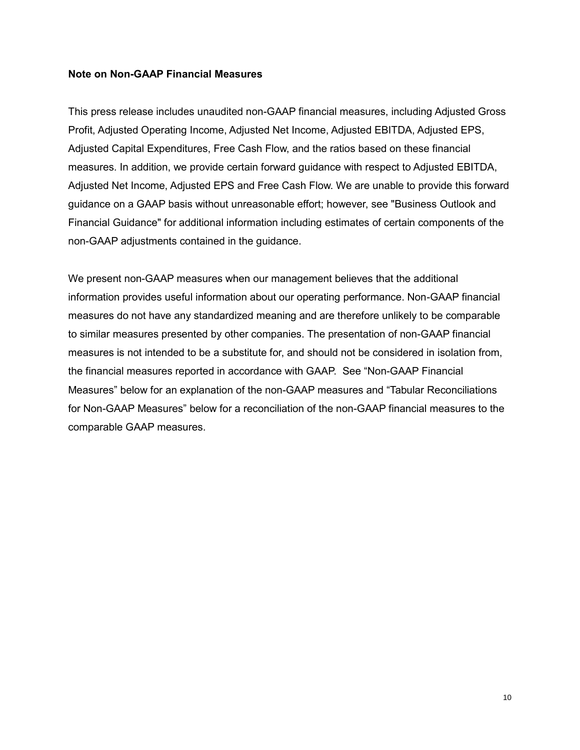#### **Note on Non-GAAP Financial Measures**

This press release includes unaudited non-GAAP financial measures, including Adjusted Gross Profit, Adjusted Operating Income, Adjusted Net Income, Adjusted EBITDA, Adjusted EPS, Adjusted Capital Expenditures, Free Cash Flow, and the ratios based on these financial measures. In addition, we provide certain forward guidance with respect to Adjusted EBITDA, Adjusted Net Income, Adjusted EPS and Free Cash Flow. We are unable to provide this forward guidance on a GAAP basis without unreasonable effort; however, see "Business Outlook and Financial Guidance" for additional information including estimates of certain components of the non-GAAP adjustments contained in the guidance.

We present non-GAAP measures when our management believes that the additional information provides useful information about our operating performance. Non-GAAP financial measures do not have any standardized meaning and are therefore unlikely to be comparable to similar measures presented by other companies. The presentation of non-GAAP financial measures is not intended to be a substitute for, and should not be considered in isolation from, the financial measures reported in accordance with GAAP.See "Non-GAAP Financial Measures" below for an explanation of the non-GAAP measures and "Tabular Reconciliations for Non-GAAP Measures" below for a reconciliation of the non-GAAP financial measures to the comparable GAAP measures.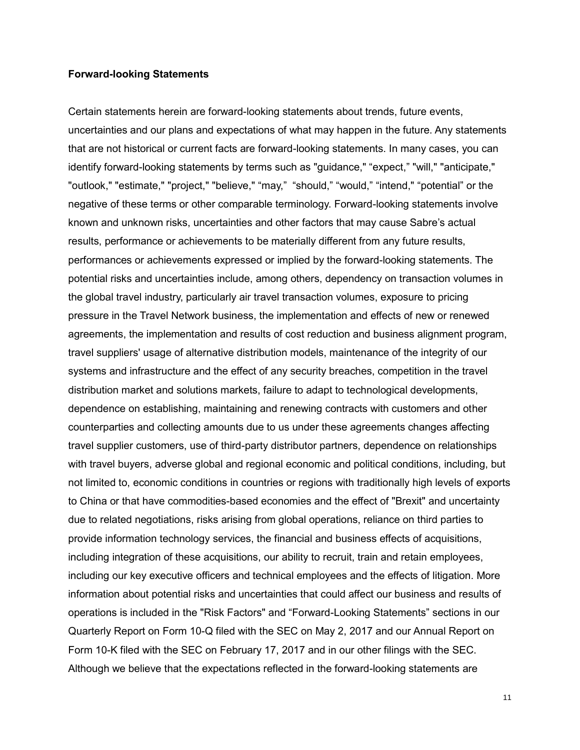#### **Forward-looking Statements**

Certain statements herein are forward-looking statements about trends, future events, uncertainties and our plans and expectations of what may happen in the future. Any statements that are not historical or current facts are forward-looking statements. In many cases, you can identify forward-looking statements by terms such as "guidance," "expect," "will," "anticipate," "outlook," "estimate," "project," "believe," "may," "should," "would," "intend," "potential" or the negative of these terms or other comparable terminology. Forward-looking statements involve known and unknown risks, uncertainties and other factors that may cause Sabre's actual results, performance or achievements to be materially different from any future results, performances or achievements expressed or implied by the forward-looking statements. The potential risks and uncertainties include, among others, dependency on transaction volumes in the global travel industry, particularly air travel transaction volumes, exposure to pricing pressure in the Travel Network business, the implementation and effects of new or renewed agreements, the implementation and results of cost reduction and business alignment program, travel suppliers' usage of alternative distribution models, maintenance of the integrity of our systems and infrastructure and the effect of any security breaches, competition in the travel distribution market and solutions markets, failure to adapt to technological developments, dependence on establishing, maintaining and renewing contracts with customers and other counterparties and collecting amounts due to us under these agreements changes affecting travel supplier customers, use of third-party distributor partners, dependence on relationships with travel buyers, adverse global and regional economic and political conditions, including, but not limited to, economic conditions in countries or regions with traditionally high levels of exports to China or that have commodities-based economies and the effect of "Brexit" and uncertainty due to related negotiations, risks arising from global operations, reliance on third parties to provide information technology services, the financial and business effects of acquisitions, including integration of these acquisitions, our ability to recruit, train and retain employees, including our key executive officers and technical employees and the effects of litigation. More information about potential risks and uncertainties that could affect our business and results of operations is included in the "Risk Factors" and "Forward-Looking Statements" sections in our Quarterly Report on Form 10-Q filed with the SEC on May 2, 2017 and our Annual Report on Form 10-K filed with the SEC on February 17, 2017 and in our other filings with the SEC. Although we believe that the expectations reflected in the forward-looking statements are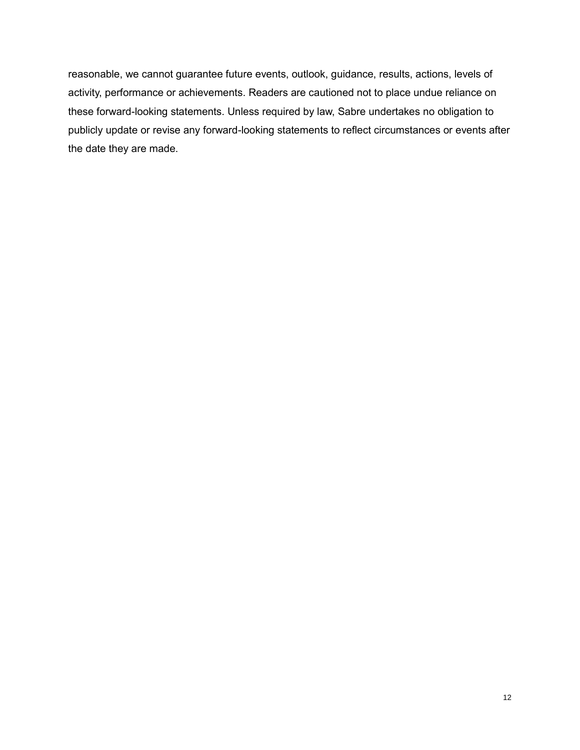reasonable, we cannot guarantee future events, outlook, guidance, results, actions, levels of activity, performance or achievements. Readers are cautioned not to place undue reliance on these forward-looking statements. Unless required by law, Sabre undertakes no obligation to publicly update or revise any forward-looking statements to reflect circumstances or events after the date they are made.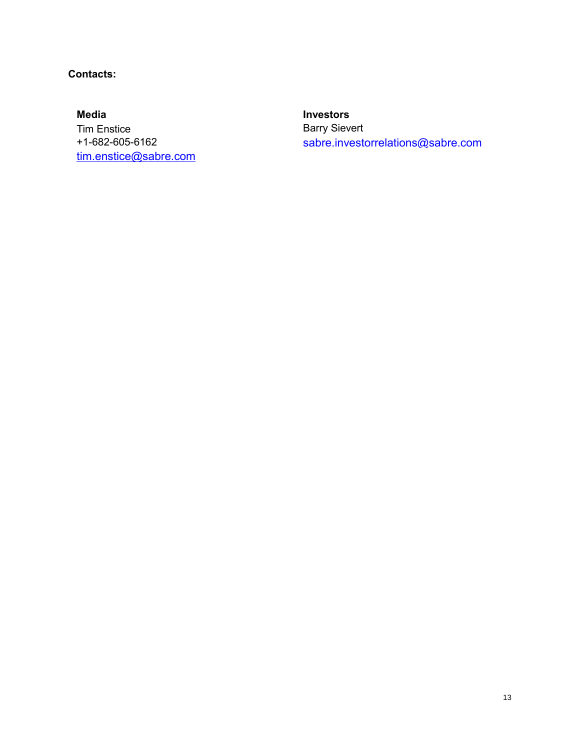## **Contacts:**

**Media Investors** Tim Enstice **Barry Sievert** tim.enstice@sabre.com

+1-682-605-6162 sabre.investorrelations@sabre.com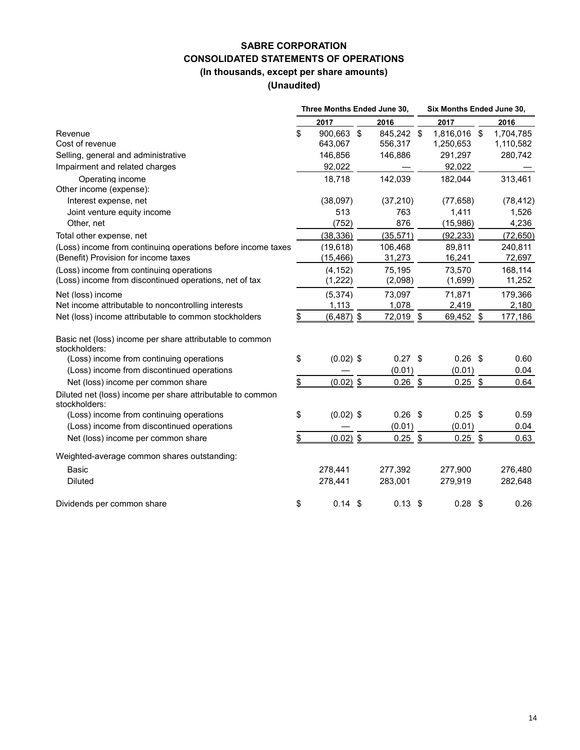### **SABRE CORPORATION CONSOLIDATED STATEMENTS OF OPERATIONS (In thousands, except per share amounts)**

**(Unaudited)**

|                                                                             | Three Months Ended June 30, |              |                |            | Six Months Ended June 30, |              |  |           |  |  |
|-----------------------------------------------------------------------------|-----------------------------|--------------|----------------|------------|---------------------------|--------------|--|-----------|--|--|
|                                                                             |                             | 2017         |                | 2016       |                           | 2017         |  | 2016      |  |  |
| Revenue                                                                     | \$                          | 900,663      | $\mathfrak{F}$ | 845,242 \$ |                           | 1,816,016 \$ |  | 1,704,785 |  |  |
| Cost of revenue                                                             |                             | 643,067      |                | 556,317    |                           | 1,250,653    |  | 1,110,582 |  |  |
| Selling, general and administrative                                         |                             | 146,856      |                | 146,886    |                           | 291,297      |  | 280,742   |  |  |
| Impairment and related charges                                              |                             | 92,022       |                |            |                           | 92,022       |  |           |  |  |
| Operating income                                                            |                             | 18,718       |                | 142,039    |                           | 182,044      |  | 313,461   |  |  |
| Other income (expense):                                                     |                             |              |                |            |                           |              |  |           |  |  |
| Interest expense, net                                                       |                             | (38,097)     |                | (37, 210)  |                           | (77, 658)    |  | (78, 412) |  |  |
| Joint venture equity income                                                 |                             | 513          |                | 763        |                           | 1,411        |  | 1,526     |  |  |
| Other, net                                                                  |                             | (752)        |                | 876        |                           | (15, 986)    |  | 4,236     |  |  |
| Total other expense, net                                                    |                             | (38, 336)    |                | (35, 571)  |                           | (92, 233)    |  | (72, 650) |  |  |
| (Loss) income from continuing operations before income taxes                |                             | (19,618)     |                | 106,468    |                           | 89,811       |  | 240,811   |  |  |
| (Benefit) Provision for income taxes                                        |                             | (15, 466)    |                | 31,273     |                           | 16,241       |  | 72,697    |  |  |
| (Loss) income from continuing operations                                    |                             | (4, 152)     |                | 75,195     |                           | 73,570       |  | 168,114   |  |  |
| (Loss) income from discontinued operations, net of tax                      |                             | (1, 222)     |                | (2,098)    |                           | (1,699)      |  | 11,252    |  |  |
| Net (loss) income                                                           |                             | (5, 374)     |                | 73.097     |                           | 71,871       |  | 179,366   |  |  |
| Net income attributable to noncontrolling interests                         |                             | 1,113        |                | 1,078      |                           | 2,419        |  | 2,180     |  |  |
| Net (loss) income attributable to common stockholders                       | \$                          | $(6,487)$ \$ |                | 72,019     | \$                        | 69,452 \$    |  | 177,186   |  |  |
| Basic net (loss) income per share attributable to common                    |                             |              |                |            |                           |              |  |           |  |  |
| stockholders:<br>(Loss) income from continuing operations                   | \$                          | $(0.02)$ \$  |                | $0.27$ \$  |                           | $0.26$ \$    |  | 0.60      |  |  |
| (Loss) income from discontinued operations                                  |                             |              |                | (0.01)     |                           | (0.01)       |  | 0.04      |  |  |
| Net (loss) income per common share                                          | \$                          | $(0.02)$ \$  |                | $0.26$ \$  |                           | $0.25$ \$    |  | 0.64      |  |  |
|                                                                             |                             |              |                |            |                           |              |  |           |  |  |
| Diluted net (loss) income per share attributable to common<br>stockholders: |                             |              |                |            |                           |              |  |           |  |  |
| (Loss) income from continuing operations                                    | \$                          | $(0.02)$ \$  |                | $0.26$ \$  |                           | $0.25$ \$    |  | 0.59      |  |  |
| (Loss) income from discontinued operations                                  |                             |              |                | (0.01)     |                           | (0.01)       |  | 0.04      |  |  |
| Net (loss) income per common share                                          | \$                          | $(0.02)$ \$  |                | $0.25$ \$  |                           | $0.25$ \$    |  | 0.63      |  |  |
| Weighted-average common shares outstanding:                                 |                             |              |                |            |                           |              |  |           |  |  |
| <b>Basic</b>                                                                |                             | 278,441      |                | 277,392    |                           | 277,900      |  | 276,480   |  |  |
| <b>Diluted</b>                                                              |                             | 278,441      |                | 283,001    |                           | 279,919      |  | 282,648   |  |  |
| Dividends per common share                                                  | \$                          | 0.14         | -\$            | $0.13$ \$  |                           | $0.28$ \$    |  | 0.26      |  |  |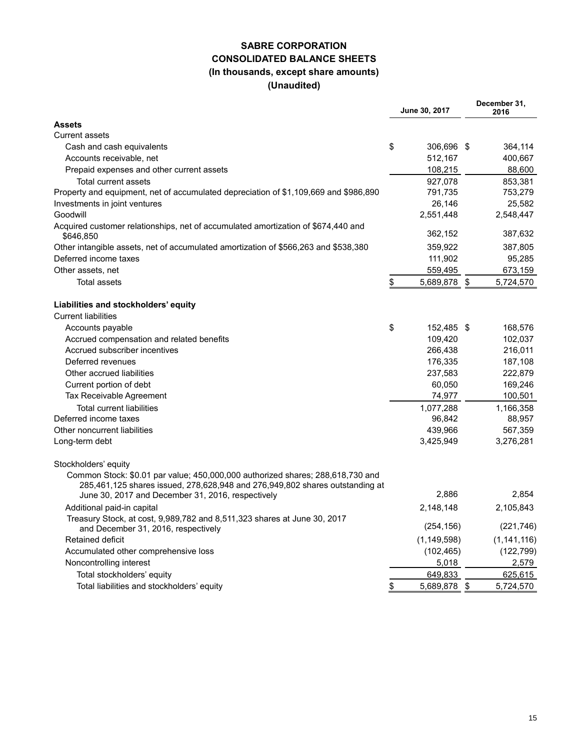### **SABRE CORPORATION CONSOLIDATED BALANCE SHEETS (In thousands, except share amounts) (Unaudited)**

| <b>Assets</b><br><b>Current assets</b><br>\$<br>Cash and cash equivalents<br>306,696 \$<br>364,114<br>512,167<br>Accounts receivable, net<br>400,667<br>108,215<br>88,600<br>Prepaid expenses and other current assets<br>Total current assets<br>927,078<br>853,381<br>791,735<br>753,279<br>Property and equipment, net of accumulated depreciation of \$1,109,669 and \$986,890<br>26,146<br>25,582<br>Investments in joint ventures<br>Goodwill<br>2,551,448<br>2,548,447<br>Acquired customer relationships, net of accumulated amortization of \$674,440 and<br>362,152<br>387,632<br>\$646,850<br>Other intangible assets, net of accumulated amortization of \$566,263 and \$538,380<br>359,922<br>387,805<br>Deferred income taxes<br>111,902<br>95,285<br>559,495<br>673,159<br>Other assets, net<br><b>Total assets</b><br>\$<br>5,689,878<br>\$<br>5,724,570<br>Liabilities and stockholders' equity<br><b>Current liabilities</b><br>\$<br>152,485 \$<br>Accounts payable<br>168,576<br>109,420<br>102,037<br>Accrued compensation and related benefits<br>Accrued subscriber incentives<br>266,438<br>216,011<br>Deferred revenues<br>176,335<br>187,108<br>Other accrued liabilities<br>237,583<br>222,879<br>60,050<br>169,246<br>Current portion of debt<br>74,977<br>100,501<br>Tax Receivable Agreement<br><b>Total current liabilities</b><br>1,077,288<br>1,166,358<br>Deferred income taxes<br>88,957<br>96,842<br>439,966<br>567,359<br>Other noncurrent liabilities<br>3,425,949<br>3,276,281<br>Long-term debt<br>Stockholders' equity<br>Common Stock: \$0.01 par value; 450,000,000 authorized shares; 288,618,730 and<br>285,461,125 shares issued, 278,628,948 and 276,949,802 shares outstanding at<br>2,886<br>2,854<br>June 30, 2017 and December 31, 2016, respectively<br>2,148,148<br>2,105,843<br>Additional paid-in capital<br>Treasury Stock, at cost, 9,989,782 and 8,511,323 shares at June 30, 2017<br>(254, 156)<br>(221, 746)<br>and December 31, 2016, respectively<br>Retained deficit<br>(1, 149, 598)<br>(1, 141, 116)<br>Accumulated other comprehensive loss<br>(102, 465)<br>(122, 799)<br>5,018<br>Noncontrolling interest<br>2,579<br>Total stockholders' equity<br>649,833<br>625,615<br>Total liabilities and stockholders' equity<br>5,689,878 \$<br>5,724,570<br>\$ |  | June 30, 2017 | December 31,<br>2016 |
|-----------------------------------------------------------------------------------------------------------------------------------------------------------------------------------------------------------------------------------------------------------------------------------------------------------------------------------------------------------------------------------------------------------------------------------------------------------------------------------------------------------------------------------------------------------------------------------------------------------------------------------------------------------------------------------------------------------------------------------------------------------------------------------------------------------------------------------------------------------------------------------------------------------------------------------------------------------------------------------------------------------------------------------------------------------------------------------------------------------------------------------------------------------------------------------------------------------------------------------------------------------------------------------------------------------------------------------------------------------------------------------------------------------------------------------------------------------------------------------------------------------------------------------------------------------------------------------------------------------------------------------------------------------------------------------------------------------------------------------------------------------------------------------------------------------------------------------------------------------------------------------------------------------------------------------------------------------------------------------------------------------------------------------------------------------------------------------------------------------------------------------------------------------------------------------------------------------------------------------------------------------------------------------------------------------------------------|--|---------------|----------------------|
|                                                                                                                                                                                                                                                                                                                                                                                                                                                                                                                                                                                                                                                                                                                                                                                                                                                                                                                                                                                                                                                                                                                                                                                                                                                                                                                                                                                                                                                                                                                                                                                                                                                                                                                                                                                                                                                                                                                                                                                                                                                                                                                                                                                                                                                                                                                             |  |               |                      |
|                                                                                                                                                                                                                                                                                                                                                                                                                                                                                                                                                                                                                                                                                                                                                                                                                                                                                                                                                                                                                                                                                                                                                                                                                                                                                                                                                                                                                                                                                                                                                                                                                                                                                                                                                                                                                                                                                                                                                                                                                                                                                                                                                                                                                                                                                                                             |  |               |                      |
|                                                                                                                                                                                                                                                                                                                                                                                                                                                                                                                                                                                                                                                                                                                                                                                                                                                                                                                                                                                                                                                                                                                                                                                                                                                                                                                                                                                                                                                                                                                                                                                                                                                                                                                                                                                                                                                                                                                                                                                                                                                                                                                                                                                                                                                                                                                             |  |               |                      |
|                                                                                                                                                                                                                                                                                                                                                                                                                                                                                                                                                                                                                                                                                                                                                                                                                                                                                                                                                                                                                                                                                                                                                                                                                                                                                                                                                                                                                                                                                                                                                                                                                                                                                                                                                                                                                                                                                                                                                                                                                                                                                                                                                                                                                                                                                                                             |  |               |                      |
|                                                                                                                                                                                                                                                                                                                                                                                                                                                                                                                                                                                                                                                                                                                                                                                                                                                                                                                                                                                                                                                                                                                                                                                                                                                                                                                                                                                                                                                                                                                                                                                                                                                                                                                                                                                                                                                                                                                                                                                                                                                                                                                                                                                                                                                                                                                             |  |               |                      |
|                                                                                                                                                                                                                                                                                                                                                                                                                                                                                                                                                                                                                                                                                                                                                                                                                                                                                                                                                                                                                                                                                                                                                                                                                                                                                                                                                                                                                                                                                                                                                                                                                                                                                                                                                                                                                                                                                                                                                                                                                                                                                                                                                                                                                                                                                                                             |  |               |                      |
|                                                                                                                                                                                                                                                                                                                                                                                                                                                                                                                                                                                                                                                                                                                                                                                                                                                                                                                                                                                                                                                                                                                                                                                                                                                                                                                                                                                                                                                                                                                                                                                                                                                                                                                                                                                                                                                                                                                                                                                                                                                                                                                                                                                                                                                                                                                             |  |               |                      |
|                                                                                                                                                                                                                                                                                                                                                                                                                                                                                                                                                                                                                                                                                                                                                                                                                                                                                                                                                                                                                                                                                                                                                                                                                                                                                                                                                                                                                                                                                                                                                                                                                                                                                                                                                                                                                                                                                                                                                                                                                                                                                                                                                                                                                                                                                                                             |  |               |                      |
|                                                                                                                                                                                                                                                                                                                                                                                                                                                                                                                                                                                                                                                                                                                                                                                                                                                                                                                                                                                                                                                                                                                                                                                                                                                                                                                                                                                                                                                                                                                                                                                                                                                                                                                                                                                                                                                                                                                                                                                                                                                                                                                                                                                                                                                                                                                             |  |               |                      |
|                                                                                                                                                                                                                                                                                                                                                                                                                                                                                                                                                                                                                                                                                                                                                                                                                                                                                                                                                                                                                                                                                                                                                                                                                                                                                                                                                                                                                                                                                                                                                                                                                                                                                                                                                                                                                                                                                                                                                                                                                                                                                                                                                                                                                                                                                                                             |  |               |                      |
|                                                                                                                                                                                                                                                                                                                                                                                                                                                                                                                                                                                                                                                                                                                                                                                                                                                                                                                                                                                                                                                                                                                                                                                                                                                                                                                                                                                                                                                                                                                                                                                                                                                                                                                                                                                                                                                                                                                                                                                                                                                                                                                                                                                                                                                                                                                             |  |               |                      |
|                                                                                                                                                                                                                                                                                                                                                                                                                                                                                                                                                                                                                                                                                                                                                                                                                                                                                                                                                                                                                                                                                                                                                                                                                                                                                                                                                                                                                                                                                                                                                                                                                                                                                                                                                                                                                                                                                                                                                                                                                                                                                                                                                                                                                                                                                                                             |  |               |                      |
|                                                                                                                                                                                                                                                                                                                                                                                                                                                                                                                                                                                                                                                                                                                                                                                                                                                                                                                                                                                                                                                                                                                                                                                                                                                                                                                                                                                                                                                                                                                                                                                                                                                                                                                                                                                                                                                                                                                                                                                                                                                                                                                                                                                                                                                                                                                             |  |               |                      |
|                                                                                                                                                                                                                                                                                                                                                                                                                                                                                                                                                                                                                                                                                                                                                                                                                                                                                                                                                                                                                                                                                                                                                                                                                                                                                                                                                                                                                                                                                                                                                                                                                                                                                                                                                                                                                                                                                                                                                                                                                                                                                                                                                                                                                                                                                                                             |  |               |                      |
|                                                                                                                                                                                                                                                                                                                                                                                                                                                                                                                                                                                                                                                                                                                                                                                                                                                                                                                                                                                                                                                                                                                                                                                                                                                                                                                                                                                                                                                                                                                                                                                                                                                                                                                                                                                                                                                                                                                                                                                                                                                                                                                                                                                                                                                                                                                             |  |               |                      |
|                                                                                                                                                                                                                                                                                                                                                                                                                                                                                                                                                                                                                                                                                                                                                                                                                                                                                                                                                                                                                                                                                                                                                                                                                                                                                                                                                                                                                                                                                                                                                                                                                                                                                                                                                                                                                                                                                                                                                                                                                                                                                                                                                                                                                                                                                                                             |  |               |                      |
|                                                                                                                                                                                                                                                                                                                                                                                                                                                                                                                                                                                                                                                                                                                                                                                                                                                                                                                                                                                                                                                                                                                                                                                                                                                                                                                                                                                                                                                                                                                                                                                                                                                                                                                                                                                                                                                                                                                                                                                                                                                                                                                                                                                                                                                                                                                             |  |               |                      |
|                                                                                                                                                                                                                                                                                                                                                                                                                                                                                                                                                                                                                                                                                                                                                                                                                                                                                                                                                                                                                                                                                                                                                                                                                                                                                                                                                                                                                                                                                                                                                                                                                                                                                                                                                                                                                                                                                                                                                                                                                                                                                                                                                                                                                                                                                                                             |  |               |                      |
|                                                                                                                                                                                                                                                                                                                                                                                                                                                                                                                                                                                                                                                                                                                                                                                                                                                                                                                                                                                                                                                                                                                                                                                                                                                                                                                                                                                                                                                                                                                                                                                                                                                                                                                                                                                                                                                                                                                                                                                                                                                                                                                                                                                                                                                                                                                             |  |               |                      |
|                                                                                                                                                                                                                                                                                                                                                                                                                                                                                                                                                                                                                                                                                                                                                                                                                                                                                                                                                                                                                                                                                                                                                                                                                                                                                                                                                                                                                                                                                                                                                                                                                                                                                                                                                                                                                                                                                                                                                                                                                                                                                                                                                                                                                                                                                                                             |  |               |                      |
|                                                                                                                                                                                                                                                                                                                                                                                                                                                                                                                                                                                                                                                                                                                                                                                                                                                                                                                                                                                                                                                                                                                                                                                                                                                                                                                                                                                                                                                                                                                                                                                                                                                                                                                                                                                                                                                                                                                                                                                                                                                                                                                                                                                                                                                                                                                             |  |               |                      |
|                                                                                                                                                                                                                                                                                                                                                                                                                                                                                                                                                                                                                                                                                                                                                                                                                                                                                                                                                                                                                                                                                                                                                                                                                                                                                                                                                                                                                                                                                                                                                                                                                                                                                                                                                                                                                                                                                                                                                                                                                                                                                                                                                                                                                                                                                                                             |  |               |                      |
|                                                                                                                                                                                                                                                                                                                                                                                                                                                                                                                                                                                                                                                                                                                                                                                                                                                                                                                                                                                                                                                                                                                                                                                                                                                                                                                                                                                                                                                                                                                                                                                                                                                                                                                                                                                                                                                                                                                                                                                                                                                                                                                                                                                                                                                                                                                             |  |               |                      |
|                                                                                                                                                                                                                                                                                                                                                                                                                                                                                                                                                                                                                                                                                                                                                                                                                                                                                                                                                                                                                                                                                                                                                                                                                                                                                                                                                                                                                                                                                                                                                                                                                                                                                                                                                                                                                                                                                                                                                                                                                                                                                                                                                                                                                                                                                                                             |  |               |                      |
|                                                                                                                                                                                                                                                                                                                                                                                                                                                                                                                                                                                                                                                                                                                                                                                                                                                                                                                                                                                                                                                                                                                                                                                                                                                                                                                                                                                                                                                                                                                                                                                                                                                                                                                                                                                                                                                                                                                                                                                                                                                                                                                                                                                                                                                                                                                             |  |               |                      |
|                                                                                                                                                                                                                                                                                                                                                                                                                                                                                                                                                                                                                                                                                                                                                                                                                                                                                                                                                                                                                                                                                                                                                                                                                                                                                                                                                                                                                                                                                                                                                                                                                                                                                                                                                                                                                                                                                                                                                                                                                                                                                                                                                                                                                                                                                                                             |  |               |                      |
|                                                                                                                                                                                                                                                                                                                                                                                                                                                                                                                                                                                                                                                                                                                                                                                                                                                                                                                                                                                                                                                                                                                                                                                                                                                                                                                                                                                                                                                                                                                                                                                                                                                                                                                                                                                                                                                                                                                                                                                                                                                                                                                                                                                                                                                                                                                             |  |               |                      |
|                                                                                                                                                                                                                                                                                                                                                                                                                                                                                                                                                                                                                                                                                                                                                                                                                                                                                                                                                                                                                                                                                                                                                                                                                                                                                                                                                                                                                                                                                                                                                                                                                                                                                                                                                                                                                                                                                                                                                                                                                                                                                                                                                                                                                                                                                                                             |  |               |                      |
|                                                                                                                                                                                                                                                                                                                                                                                                                                                                                                                                                                                                                                                                                                                                                                                                                                                                                                                                                                                                                                                                                                                                                                                                                                                                                                                                                                                                                                                                                                                                                                                                                                                                                                                                                                                                                                                                                                                                                                                                                                                                                                                                                                                                                                                                                                                             |  |               |                      |
|                                                                                                                                                                                                                                                                                                                                                                                                                                                                                                                                                                                                                                                                                                                                                                                                                                                                                                                                                                                                                                                                                                                                                                                                                                                                                                                                                                                                                                                                                                                                                                                                                                                                                                                                                                                                                                                                                                                                                                                                                                                                                                                                                                                                                                                                                                                             |  |               |                      |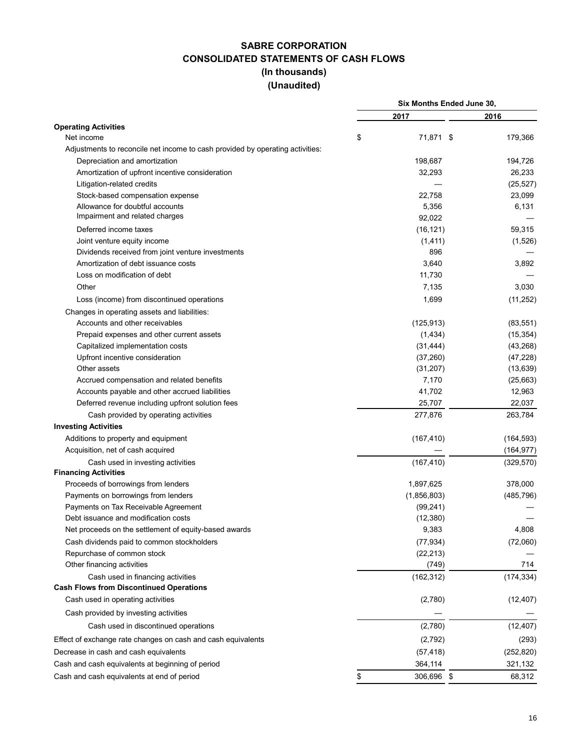### **SABRE CORPORATION CONSOLIDATED STATEMENTS OF CASH FLOWS (In thousands) (Unaudited)**

|                                                                               |    | Six Months Ended June 30, |  |            |
|-------------------------------------------------------------------------------|----|---------------------------|--|------------|
|                                                                               |    | 2017                      |  | 2016       |
| <b>Operating Activities</b>                                                   |    |                           |  |            |
| Net income                                                                    | \$ | 71,871 \$                 |  | 179,366    |
| Adjustments to reconcile net income to cash provided by operating activities: |    |                           |  |            |
| Depreciation and amortization                                                 |    | 198,687                   |  | 194,726    |
| Amortization of upfront incentive consideration                               |    | 32,293                    |  | 26,233     |
| Litigation-related credits                                                    |    |                           |  | (25, 527)  |
| Stock-based compensation expense                                              |    | 22,758                    |  | 23,099     |
| Allowance for doubtful accounts                                               |    | 5,356                     |  | 6,131      |
| Impairment and related charges                                                |    | 92,022                    |  |            |
| Deferred income taxes                                                         |    | (16, 121)                 |  | 59,315     |
| Joint venture equity income                                                   |    | (1, 411)                  |  | (1,526)    |
| Dividends received from joint venture investments                             |    | 896                       |  |            |
| Amortization of debt issuance costs                                           |    | 3,640                     |  | 3,892      |
| Loss on modification of debt                                                  |    | 11,730                    |  |            |
| Other                                                                         |    | 7,135                     |  | 3,030      |
| Loss (income) from discontinued operations                                    |    | 1,699                     |  | (11, 252)  |
| Changes in operating assets and liabilities:                                  |    |                           |  |            |
| Accounts and other receivables                                                |    | (125, 913)                |  | (83, 551)  |
| Prepaid expenses and other current assets                                     |    | (1,434)                   |  | (15, 354)  |
| Capitalized implementation costs                                              |    | (31, 444)                 |  | (43,268)   |
| Upfront incentive consideration                                               |    | (37, 260)                 |  | (47, 228)  |
| Other assets                                                                  |    | (31, 207)                 |  | (13, 639)  |
| Accrued compensation and related benefits                                     |    | 7,170                     |  | (25,663)   |
| Accounts payable and other accrued liabilities                                |    | 41,702                    |  | 12,963     |
| Deferred revenue including upfront solution fees                              |    | 25,707                    |  | 22,037     |
| Cash provided by operating activities                                         |    | 277,876                   |  | 263,784    |
| <b>Investing Activities</b>                                                   |    |                           |  |            |
| Additions to property and equipment                                           |    | (167, 410)                |  | (164, 593) |
| Acquisition, net of cash acquired                                             |    |                           |  | (164, 977) |
|                                                                               |    |                           |  |            |
| Cash used in investing activities<br><b>Financing Activities</b>              |    | (167, 410)                |  | (329, 570) |
| Proceeds of borrowings from lenders                                           |    | 1,897,625                 |  | 378,000    |
| Payments on borrowings from lenders                                           |    | (1,856,803)               |  | (485, 796) |
| Payments on Tax Receivable Agreement                                          |    | (99, 241)                 |  |            |
| Debt issuance and modification costs                                          |    | (12, 380)                 |  |            |
| Net proceeds on the settlement of equity-based awards                         |    | 9,383                     |  | 4,808      |
|                                                                               |    |                           |  |            |
| Cash dividends paid to common stockholders                                    |    | (77, 934)                 |  | (72,060)   |
| Repurchase of common stock                                                    |    | (22, 213)                 |  |            |
| Other financing activities                                                    |    | (749)                     |  | 714        |
| Cash used in financing activities                                             |    | (162, 312)                |  | (174, 334) |
| <b>Cash Flows from Discontinued Operations</b>                                |    |                           |  |            |
| Cash used in operating activities                                             |    | (2,780)                   |  | (12, 407)  |
| Cash provided by investing activities                                         |    |                           |  |            |
| Cash used in discontinued operations                                          |    | (2,780)                   |  | (12, 407)  |
| Effect of exchange rate changes on cash and cash equivalents                  |    | (2,792)                   |  | (293)      |
| Decrease in cash and cash equivalents                                         |    | (57, 418)                 |  | (252, 820) |
| Cash and cash equivalents at beginning of period                              |    | 364,114                   |  | 321,132    |
| Cash and cash equivalents at end of period                                    | \$ | 306,696 \$                |  | 68,312     |
|                                                                               |    |                           |  |            |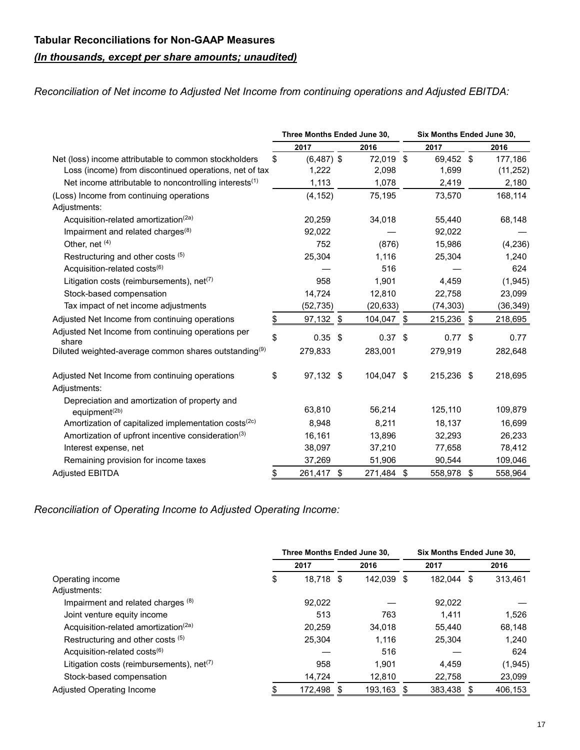### **Tabular Reconciliations for Non-GAAP Measures**

## *(In thousands, except per share amounts; unaudited)*

*Reconciliation of Net income to Adjusted Net Income from continuing operations and Adjusted EBITDA:*

|                                                                            | Three Months Ended June 30, |    |            | Six Months Ended June 30, |     |           |  |  |
|----------------------------------------------------------------------------|-----------------------------|----|------------|---------------------------|-----|-----------|--|--|
|                                                                            | 2017                        |    | 2016       | 2017                      |     | 2016      |  |  |
| Net (loss) income attributable to common stockholders                      | \$<br>$(6,487)$ \$          |    | 72,019 \$  | 69,452 \$                 |     | 177,186   |  |  |
| Loss (income) from discontinued operations, net of tax                     | 1,222                       |    | 2,098      | 1,699                     |     | (11, 252) |  |  |
| Net income attributable to noncontrolling interests <sup>(1)</sup>         | 1,113                       |    | 1,078      | 2,419                     |     | 2,180     |  |  |
| (Loss) Income from continuing operations                                   | (4, 152)                    |    | 75,195     | 73,570                    |     | 168,114   |  |  |
| Adjustments:                                                               |                             |    |            |                           |     |           |  |  |
| Acquisition-related amortization <sup>(2a)</sup>                           | 20,259                      |    | 34,018     | 55,440                    |     | 68,148    |  |  |
| Impairment and related charges <sup>(8)</sup>                              | 92,022                      |    |            | 92,022                    |     |           |  |  |
| Other, net (4)                                                             | 752                         |    | (876)      | 15,986                    |     | (4,236)   |  |  |
| Restructuring and other costs (5)                                          | 25,304                      |    | 1,116      | 25,304                    |     | 1,240     |  |  |
| Acquisition-related costs <sup>(6)</sup>                                   |                             |    | 516        |                           |     | 624       |  |  |
| Litigation costs (reimbursements), $net^{(7)}$                             | 958                         |    | 1,901      | 4,459                     |     | (1,945)   |  |  |
| Stock-based compensation                                                   | 14,724                      |    | 12,810     | 22,758                    |     | 23,099    |  |  |
| Tax impact of net income adjustments                                       | (52, 735)                   |    | (20, 633)  | (74, 303)                 |     | (36, 349) |  |  |
| Adjusted Net Income from continuing operations                             | \$<br>97,132                | \$ | 104,047 \$ | 215,236 \$                |     | 218,695   |  |  |
| Adjusted Net Income from continuing operations per<br>share                | \$<br>$0.35$ \$             |    | $0.37$ \$  | $0.77$ \$                 |     | 0.77      |  |  |
| Diluted weighted-average common shares outstanding <sup>(9)</sup>          | 279,833                     |    | 283,001    | 279,919                   |     | 282,648   |  |  |
| Adjusted Net Income from continuing operations<br>Adjustments:             | \$<br>97,132 \$             |    | 104,047 \$ | 215,236 \$                |     | 218,695   |  |  |
| Depreciation and amortization of property and<br>equipment <sup>(2b)</sup> | 63,810                      |    | 56,214     | 125,110                   |     | 109,879   |  |  |
| Amortization of capitalized implementation costs <sup>(2c)</sup>           | 8.948                       |    | 8,211      | 18,137                    |     | 16,699    |  |  |
| Amortization of upfront incentive consideration <sup>(3)</sup>             | 16,161                      |    | 13,896     | 32,293                    |     | 26,233    |  |  |
| Interest expense, net                                                      | 38,097                      |    | 37,210     | 77,658                    |     | 78,412    |  |  |
| Remaining provision for income taxes                                       | 37,269                      |    | 51,906     | 90,544                    |     | 109,046   |  |  |
| <b>Adjusted EBITDA</b>                                                     | \$<br>261,417 \$            |    | 271,484 \$ | 558,978                   | -\$ | 558,964   |  |  |

*Reconciliation of Operating Income to Adjusted Operating Income:*

|                                                       |    | Three Months Ended June 30, |  | Six Months Ended June 30, |      |         |   |         |
|-------------------------------------------------------|----|-----------------------------|--|---------------------------|------|---------|---|---------|
|                                                       |    | 2017                        |  | 2016                      | 2017 |         |   | 2016    |
| Operating income                                      | \$ | 18.718 \$                   |  | 142.039                   | S    | 182.044 | S | 313.461 |
| Adjustments:                                          |    |                             |  |                           |      |         |   |         |
| Impairment and related charges (8)                    |    | 92.022                      |  |                           |      | 92.022  |   |         |
| Joint venture equity income                           |    | 513                         |  | 763                       |      | 1.411   |   | 1.526   |
| Acquisition-related amortization <sup>(2a)</sup>      |    | 20.259                      |  | 34.018                    |      | 55.440  |   | 68,148  |
| Restructuring and other costs (5)                     |    | 25.304                      |  | 1.116                     |      | 25.304  |   | 1.240   |
| Acquisition-related costs <sup>(6)</sup>              |    |                             |  | 516                       |      |         |   | 624     |
| Litigation costs (reimbursements), net <sup>(7)</sup> |    | 958                         |  | 1.901                     |      | 4.459   |   | (1,945) |
| Stock-based compensation                              |    | 14,724                      |  | 12,810                    |      | 22,758  |   | 23,099  |
| Adjusted Operating Income                             |    | 172,498                     |  | 193,163                   |      | 383,438 |   | 406,153 |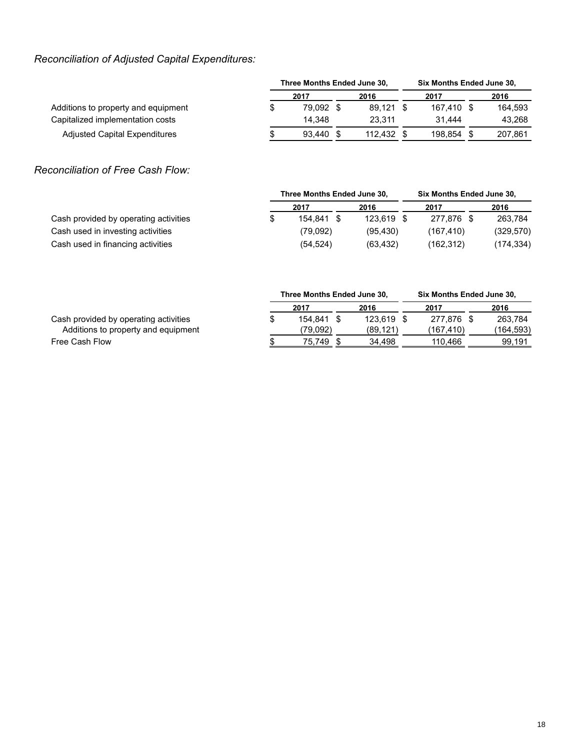## *Reconciliation of Adjusted Capital Expenditures:*

|                                     | Three Months Ended June 30, | <b>Six Months Ended June 30,</b> |  |         |  |            |      |         |  |
|-------------------------------------|-----------------------------|----------------------------------|--|---------|--|------------|------|---------|--|
|                                     | 2017                        |                                  |  | 2016    |  | 2017       | 2016 |         |  |
| Additions to property and equipment |                             | 79.092                           |  | 89.121  |  | 167.410 \$ |      | 164.593 |  |
| Capitalized implementation costs    |                             | 14.348                           |  | 23.311  |  | 31.444     |      | 43.268  |  |
| Adjusted Capital Expenditures       |                             | 93.440                           |  | 112.432 |  | 198.854    |      | 207,861 |  |

### *Reconciliation of Free Cash Flow:*

|                                       | Three Months Ended June 30, |            |  | <b>Six Months Ended June 30,</b> |      |            |
|---------------------------------------|-----------------------------|------------|--|----------------------------------|------|------------|
|                                       | 2017                        | 2016       |  | 2017                             | 2016 |            |
| Cash provided by operating activities | 154.841 \$                  | 123.619 \$ |  | 277.876 \$                       |      | 263.784    |
| Cash used in investing activities     | (79.092)                    | (95.430)   |  | (167.410)                        |      | (329, 570) |
| Cash used in financing activities     | (54, 524)                   | (63, 432)  |  | (162.312)                        |      | (174, 334) |

|                                                                              |      | Three Months Ended June 30, |  |                        | Six Months Ended June 30, |                         |      |                      |  |  |
|------------------------------------------------------------------------------|------|-----------------------------|--|------------------------|---------------------------|-------------------------|------|----------------------|--|--|
|                                                                              | 2017 |                             |  | 2016                   |                           | 2017                    | 2016 |                      |  |  |
| Cash provided by operating activities<br>Additions to property and equipment | \$   | 154.841<br>(79.092)         |  | 123.619 \$<br>(89.121) |                           | 277.876 \$<br>(167.410) |      | 263.784<br>(164,593) |  |  |
| Free Cash Flow                                                               |      | 75.749                      |  | 34.498                 |                           | 110.466                 |      | 99,191               |  |  |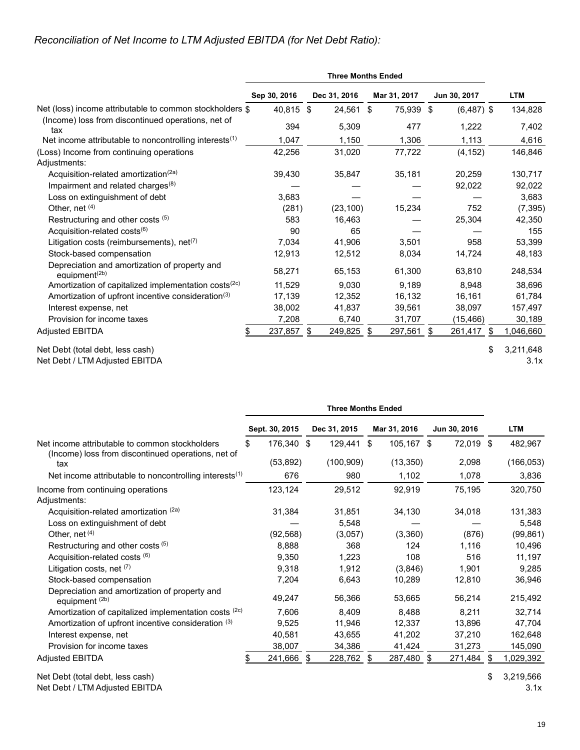### *Reconciliation of Net Income to LTM Adjusted EBITDA (for Net Debt Ratio):*

|                                                                            | Sep 30, 2016 | Dec 31, 2016  | Mar 31, 2017     | Jun 30, 2017   | <b>LTM</b> |
|----------------------------------------------------------------------------|--------------|---------------|------------------|----------------|------------|
| Net (loss) income attributable to common stockholders \$                   | 40,815 \$    | 24,561        | 75,939 \$<br>\$  | $(6,487)$ \$   | 134,828    |
| (Income) loss from discontinued operations, net of<br>tax                  | 394          | 5,309         | 477              | 1,222          | 7,402      |
| Net income attributable to noncontrolling interests $(1)$                  | 1,047        | 1,150         | 1,306            | 1,113          | 4,616      |
| (Loss) Income from continuing operations<br>Adjustments:                   | 42,256       | 31,020        | 77,722           | (4, 152)       | 146,846    |
| Acquisition-related amortization <sup>(2a)</sup>                           | 39,430       | 35,847        | 35,181           | 20,259         | 130,717    |
| Impairment and related charges <sup>(8)</sup>                              |              |               |                  | 92,022         | 92,022     |
| Loss on extinguishment of debt                                             | 3,683        |               |                  |                | 3,683      |
| Other, net (4)                                                             | (281)        | (23, 100)     | 15,234           | 752            | (7, 395)   |
| Restructuring and other costs (5)                                          | 583          | 16,463        |                  | 25,304         | 42,350     |
| Acquisition-related costs <sup>(6)</sup>                                   | 90           | 65            |                  |                | 155        |
| Litigation costs (reimbursements), $net^{(7)}$                             | 7,034        | 41,906        | 3,501            | 958            | 53,399     |
| Stock-based compensation                                                   | 12,913       | 12,512        | 8,034            | 14,724         | 48,183     |
| Depreciation and amortization of property and<br>equipment <sup>(2b)</sup> | 58,271       | 65,153        | 61,300           | 63,810         | 248,534    |
| Amortization of capitalized implementation costs <sup>(2c)</sup>           | 11,529       | 9,030         | 9,189            | 8,948          | 38,696     |
| Amortization of upfront incentive consideration <sup>(3)</sup>             | 17,139       | 12,352        | 16,132           | 16,161         | 61,784     |
| Interest expense, net                                                      | 38,002       | 41,837        | 39,561           | 38,097         | 157,497    |
| Provision for income taxes                                                 | 7,208        | 6,740         | 31,707           | (15, 466)      | 30,189     |
| <b>Adjusted EBITDA</b>                                                     | 237,857      | 249,825<br>\$ | 297,561 \$<br>\$ | 261,417<br>\$. | 1,046,660  |
| Net Debt (total debt, less cash)                                           |              |               |                  | \$             | 3,211,648  |

Net Debt / LTM Adjusted EBITDA 3.1x

|                                                                                                      |     |                |   | <b>Three Months Ended</b> |               |   |              |   |            |
|------------------------------------------------------------------------------------------------------|-----|----------------|---|---------------------------|---------------|---|--------------|---|------------|
|                                                                                                      |     | Sept. 30, 2015 |   | Dec 31, 2015              | Mar 31, 2016  |   | Jun 30, 2016 |   | <b>LTM</b> |
| Net income attributable to common stockholders<br>(Income) loss from discontinued operations, net of | \$. | 176,340 \$     |   | 129,441 \$                | 105,167 \$    |   | 72,019 \$    |   | 482,967    |
| tax                                                                                                  |     | (53, 892)      |   | (100, 909)                | (13, 350)     |   | 2,098        |   | (166, 053) |
| Net income attributable to noncontrolling interests <sup>(1)</sup>                                   |     | 676            |   | 980                       | 1,102         |   | 1,078        |   | 3,836      |
| Income from continuing operations<br>Adjustments:                                                    |     | 123,124        |   | 29,512                    | 92,919        |   | 75,195       |   | 320,750    |
| Acquisition-related amortization (2a)                                                                |     | 31,384         |   | 31,851                    | 34,130        |   | 34,018       |   | 131,383    |
| Loss on extinguishment of debt                                                                       |     |                |   | 5,548                     |               |   |              |   | 5,548      |
| Other, net $(4)$                                                                                     |     | (92, 568)      |   | (3,057)                   | (3,360)       |   | (876)        |   | (99, 861)  |
| Restructuring and other costs (5)                                                                    |     | 8,888          |   | 368                       | 124           |   | 1,116        |   | 10,496     |
| Acquisition-related costs (6)                                                                        |     | 9,350          |   | 1,223                     | 108           |   | 516          |   | 11,197     |
| Litigation costs, net $(7)$                                                                          |     | 9,318          |   | 1,912                     | (3,846)       |   | 1,901        |   | 9,285      |
| Stock-based compensation                                                                             |     | 7,204          |   | 6,643                     | 10,289        |   | 12,810       |   | 36,946     |
| Depreciation and amortization of property and<br>equipment <sup>(2b)</sup>                           |     | 49,247         |   | 56,366                    | 53,665        |   | 56,214       |   | 215,492    |
| Amortization of capitalized implementation costs (2c)                                                |     | 7.606          |   | 8,409                     | 8,488         |   | 8,211        |   | 32,714     |
| Amortization of upfront incentive consideration (3)                                                  |     | 9,525          |   | 11,946                    | 12,337        |   | 13,896       |   | 47,704     |
| Interest expense, net                                                                                |     | 40,581         |   | 43,655                    | 41,202        |   | 37,210       |   | 162,648    |
| Provision for income taxes                                                                           |     | 38,007         |   | 34,386                    | 41,424        |   | 31,273       |   | 145,090    |
| <b>Adjusted EBITDA</b>                                                                               |     | 241,666        | S | 228,762                   | \$<br>287,480 | S | 271,484      | S | 1,029,392  |

Net Debt (total debt, less cash)  $$3,219,566$ 

Net Debt / LTM Adjusted EBITDA 3.1x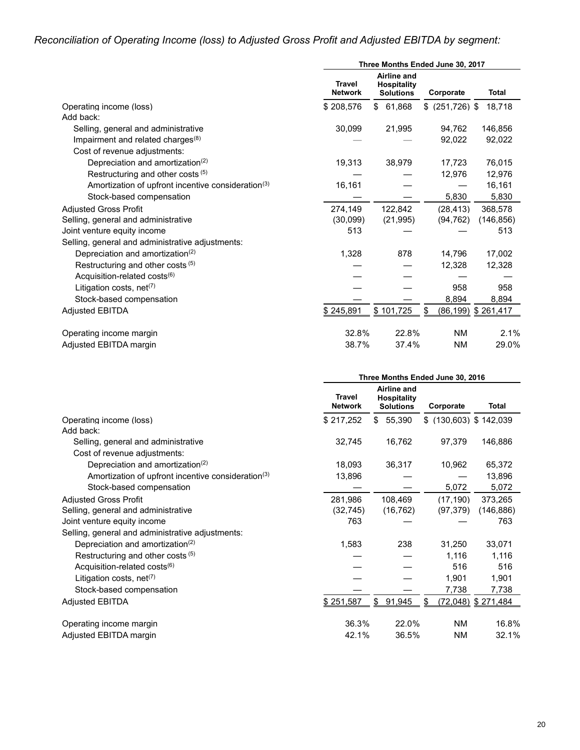# *Reconciliation of Operating Income (loss) to Adjusted Gross Profit and Adjusted EBITDA by segment:*

|                                                                | Three Months Ended June 30, 2017 |                                                       |                 |                    |
|----------------------------------------------------------------|----------------------------------|-------------------------------------------------------|-----------------|--------------------|
|                                                                | <b>Travel</b><br><b>Network</b>  | Airline and<br><b>Hospitality</b><br><b>Solutions</b> | Corporate       | <b>Total</b>       |
| Operating income (loss)                                        | \$208,576                        | \$61,868                                              | $$^{(251,726)}$ | 18,718             |
| Add back:                                                      |                                  |                                                       |                 |                    |
| Selling, general and administrative                            | 30,099                           | 21,995                                                | 94,762          | 146,856            |
| Impairment and related charges $(8)$                           |                                  |                                                       | 92,022          | 92,022             |
| Cost of revenue adjustments:                                   |                                  |                                                       |                 |                    |
| Depreciation and amortization <sup>(2)</sup>                   | 19,313                           | 38,979                                                | 17,723          | 76,015             |
| Restructuring and other costs (5)                              |                                  |                                                       | 12,976          | 12,976             |
| Amortization of upfront incentive consideration <sup>(3)</sup> | 16,161                           |                                                       |                 | 16,161             |
| Stock-based compensation                                       |                                  |                                                       | 5,830           | 5,830              |
| <b>Adiusted Gross Profit</b>                                   | 274,149                          | 122,842                                               | (28, 413)       | 368,578            |
| Selling, general and administrative                            | (30,099)                         | (21, 995)                                             | (94, 762)       | (146, 856)         |
| Joint venture equity income                                    | 513                              |                                                       |                 | 513                |
| Selling, general and administrative adjustments:               |                                  |                                                       |                 |                    |
| Depreciation and amortization <sup>(2)</sup>                   | 1,328                            | 878                                                   | 14,796          | 17,002             |
| Restructuring and other costs (5)                              |                                  |                                                       | 12,328          | 12,328             |
| Acquisition-related costs <sup>(6)</sup>                       |                                  |                                                       |                 |                    |
| Litigation costs, $net(7)$                                     |                                  |                                                       | 958             | 958                |
| Stock-based compensation                                       |                                  |                                                       | 8,894           | 8,894              |
| <b>Adjusted EBITDA</b>                                         | \$245,891                        | \$101,725                                             | \$              | (86,199) \$261,417 |
| Operating income margin                                        | 32.8%                            | 22.8%                                                 | <b>NM</b>       | 2.1%               |
| Adjusted EBITDA margin                                         | 38.7%                            | 37.4%                                                 | <b>NM</b>       | 29.0%              |

|                                                                | Three Months Ended June 30, 2016 |                                                       |                          |                    |
|----------------------------------------------------------------|----------------------------------|-------------------------------------------------------|--------------------------|--------------------|
|                                                                | <b>Travel</b><br><b>Network</b>  | Airline and<br><b>Hospitality</b><br><b>Solutions</b> | Corporate                | <b>Total</b>       |
| Operating income (loss)                                        | \$217,252                        | 55,390<br>\$                                          | $$$ (130,603) \$ 142,039 |                    |
| Add back:                                                      |                                  |                                                       |                          |                    |
| Selling, general and administrative                            | 32,745                           | 16,762                                                | 97,379                   | 146,886            |
| Cost of revenue adjustments:                                   |                                  |                                                       |                          |                    |
| Depreciation and amortization <sup>(2)</sup>                   | 18,093                           | 36,317                                                | 10,962                   | 65,372             |
| Amortization of upfront incentive consideration <sup>(3)</sup> | 13,896                           |                                                       |                          | 13,896             |
| Stock-based compensation                                       |                                  |                                                       | 5,072                    | 5,072              |
| <b>Adiusted Gross Profit</b>                                   | 281,986                          | 108,469                                               | (17, 190)                | 373,265            |
| Selling, general and administrative                            | (32, 745)                        | (16, 762)                                             | (97, 379)                | (146, 886)         |
| Joint venture equity income                                    | 763                              |                                                       |                          | 763                |
| Selling, general and administrative adjustments:               |                                  |                                                       |                          |                    |
| Depreciation and amortization <sup>(2)</sup>                   | 1,583                            | 238                                                   | 31,250                   | 33,071             |
| Restructuring and other costs (5)                              |                                  |                                                       | 1,116                    | 1,116              |
| Acquisition-related costs <sup>(6)</sup>                       |                                  |                                                       | 516                      | 516                |
| Litigation costs, net <sup><math>(7)</math></sup>              |                                  |                                                       | 1,901                    | 1,901              |
| Stock-based compensation                                       |                                  |                                                       | 7,738                    | 7,738              |
| <b>Adjusted EBITDA</b>                                         | \$251,587                        | \$<br>91,945                                          | S                        | (72,048) \$271,484 |
| Operating income margin                                        | 36.3%                            | 22.0%                                                 | <b>NM</b>                | 16.8%              |
| Adjusted EBITDA margin                                         | 42.1%                            | 36.5%                                                 | ΝM                       | 32.1%              |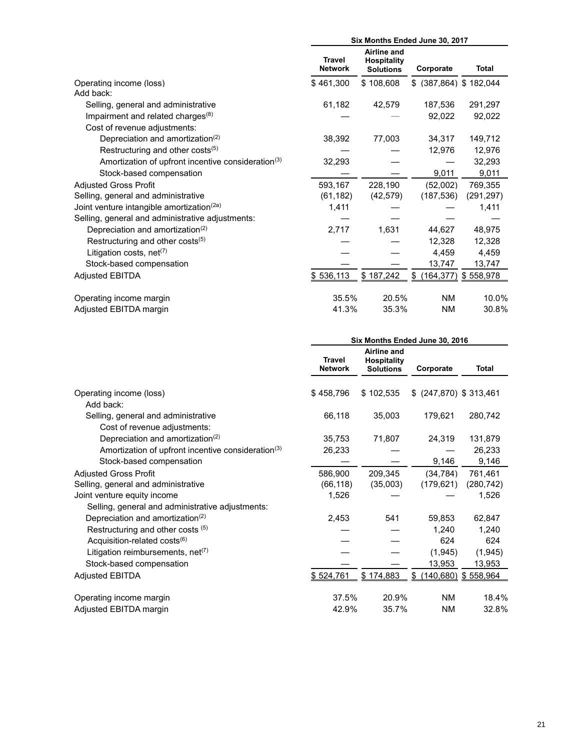|                                                                | Six Months Ended June 30, 2017  |                                                              |                           |              |
|----------------------------------------------------------------|---------------------------------|--------------------------------------------------------------|---------------------------|--------------|
|                                                                | <b>Travel</b><br><b>Network</b> | <b>Airline and</b><br><b>Hospitality</b><br><b>Solutions</b> | Corporate                 | <b>Total</b> |
| Operating income (loss)                                        | \$461,300                       | \$108,608                                                    | $$$ (387,864) $$$ 182,044 |              |
| Add back:                                                      |                                 |                                                              |                           |              |
| Selling, general and administrative                            | 61,182                          | 42,579                                                       | 187,536                   | 291,297      |
| Impairment and related charges $(8)$                           |                                 |                                                              | 92,022                    | 92,022       |
| Cost of revenue adjustments:                                   |                                 |                                                              |                           |              |
| Depreciation and amortization <sup>(2)</sup>                   | 38,392                          | 77,003                                                       | 34,317                    | 149,712      |
| Restructuring and other costs <sup>(5)</sup>                   |                                 |                                                              | 12,976                    | 12,976       |
| Amortization of upfront incentive consideration <sup>(3)</sup> | 32,293                          |                                                              |                           | 32,293       |
| Stock-based compensation                                       |                                 |                                                              | 9,011                     | 9,011        |
| <b>Adjusted Gross Profit</b>                                   | 593,167                         | 228,190                                                      | (52,002)                  | 769,355      |
| Selling, general and administrative                            | (61, 182)                       | (42, 579)                                                    | (187, 536)                | (291, 297)   |
| Joint venture intangible amortization <sup>(2a)</sup>          | 1,411                           |                                                              |                           | 1,411        |
| Selling, general and administrative adjustments:               |                                 |                                                              |                           |              |
| Depreciation and amortization <sup>(2)</sup>                   | 2,717                           | 1,631                                                        | 44,627                    | 48,975       |
| Restructuring and other costs <sup>(5)</sup>                   |                                 |                                                              | 12,328                    | 12,328       |
| Litigation costs, net <sup>(7)</sup>                           |                                 |                                                              | 4,459                     | 4,459        |
| Stock-based compensation                                       |                                 |                                                              | 13,747                    | 13,747       |
| <b>Adjusted EBITDA</b>                                         | \$536,113                       | \$187,242                                                    | \$ (164, 377)             | \$558,978    |
| Operating income margin                                        | 35.5%                           | 20.5%                                                        | ΝM                        | 10.0%        |
| Adjusted EBITDA margin                                         | 41.3%                           | 35.3%                                                        | <b>NM</b>                 | 30.8%        |

|                                                                     |                                 | Six Months Ended June 30, 2016                        |                           |              |
|---------------------------------------------------------------------|---------------------------------|-------------------------------------------------------|---------------------------|--------------|
|                                                                     | <b>Travel</b><br><b>Network</b> | Airline and<br><b>Hospitality</b><br><b>Solutions</b> | Corporate                 | <b>Total</b> |
| Operating income (loss)<br>Add back:                                | \$458,796                       | \$102,535                                             | $$$ (247,870) $$$ 313,461 |              |
| Selling, general and administrative<br>Cost of revenue adjustments: | 66,118                          | 35,003                                                | 179,621                   | 280,742      |
| Depreciation and amortization <sup>(2)</sup>                        | 35,753                          | 71,807                                                | 24,319                    | 131,879      |
| Amortization of upfront incentive consideration <sup>(3)</sup>      | 26,233                          |                                                       |                           | 26,233       |
| Stock-based compensation                                            |                                 |                                                       | 9,146                     | 9,146        |
| <b>Adjusted Gross Profit</b>                                        | 586,900                         | 209,345                                               | (34, 784)                 | 761,461      |
| Selling, general and administrative                                 | (66, 118)                       | (35,003)                                              | (179, 621)                | (280, 742)   |
| Joint venture equity income                                         | 1,526                           |                                                       |                           | 1,526        |
| Selling, general and administrative adjustments:                    |                                 |                                                       |                           |              |
| Depreciation and amortization <sup>(2)</sup>                        | 2,453                           | 541                                                   | 59,853                    | 62,847       |
| Restructuring and other costs (5)                                   |                                 |                                                       | 1,240                     | 1,240        |
| Acquisition-related costs <sup>(6)</sup>                            |                                 |                                                       | 624                       | 624          |
| Litigation reimbursements, net <sup>(7)</sup>                       |                                 |                                                       | (1,945)                   | (1,945)      |
| Stock-based compensation                                            |                                 |                                                       | 13,953                    | 13,953       |
| <b>Adjusted EBITDA</b>                                              | \$524,761                       | \$174,883                                             | $$$ (140,680) $$$ 558,964 |              |
| Operating income margin                                             | 37.5%                           | 20.9%                                                 | <b>NM</b>                 | 18.4%        |
| Adjusted EBITDA margin                                              | 42.9%                           | 35.7%                                                 | <b>NM</b>                 | 32.8%        |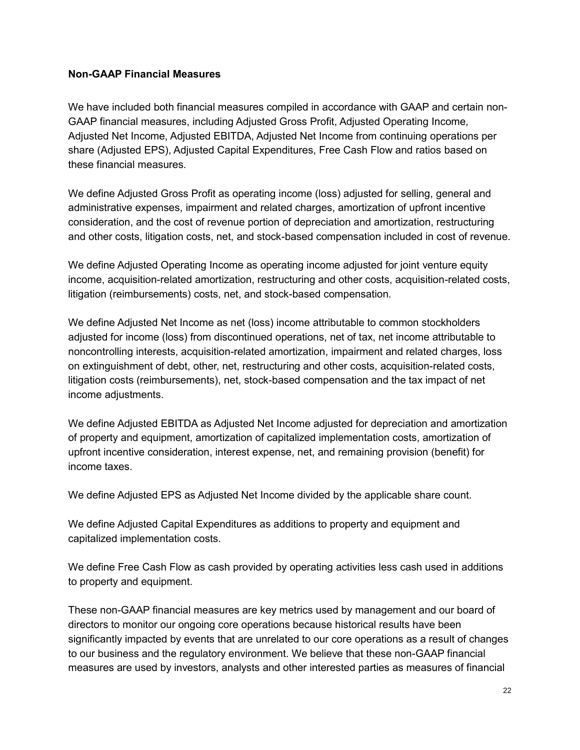### **Non-GAAP Financial Measures**

We have included both financial measures compiled in accordance with GAAP and certain non-GAAP financial measures, including Adjusted Gross Profit, Adjusted Operating Income, Adjusted Net Income, Adjusted EBITDA, Adjusted Net Income from continuing operations per share (Adjusted EPS), Adjusted Capital Expenditures, Free Cash Flow and ratios based on these financial measures.

We define Adjusted Gross Profit as operating income (loss) adjusted for selling, general and administrative expenses, impairment and related charges, amortization of upfront incentive consideration, and the cost of revenue portion of depreciation and amortization, restructuring and other costs, litigation costs, net, and stock-based compensation included in cost of revenue.

We define Adjusted Operating Income as operating income adjusted for joint venture equity income, acquisition-related amortization, restructuring and other costs, acquisition-related costs, litigation (reimbursements) costs, net, and stock-based compensation.

We define Adjusted Net Income as net (loss) income attributable to common stockholders adjusted for income (loss) from discontinued operations, net of tax, net income attributable to noncontrolling interests, acquisition-related amortization, impairment and related charges, loss on extinguishment of debt, other, net, restructuring and other costs, acquisition-related costs, litigation costs (reimbursements), net, stock-based compensation and the tax impact of net income adjustments.

We define Adjusted EBITDA as Adjusted Net Income adjusted for depreciation and amortization of property and equipment, amortization of capitalized implementation costs, amortization of upfront incentive consideration, interest expense, net, and remaining provision (benefit) for income taxes.

We define Adjusted EPS as Adjusted Net Income divided by the applicable share count.

We define Adjusted Capital Expenditures as additions to property and equipment and capitalized implementation costs.

We define Free Cash Flow as cash provided by operating activities less cash used in additions to property and equipment.

These non-GAAP financial measures are key metrics used by management and our board of directors to monitor our ongoing core operations because historical results have been significantly impacted by events that are unrelated to our core operations as a result of changes to our business and the regulatory environment. We believe that these non-GAAP financial measures are used by investors, analysts and other interested parties as measures of financial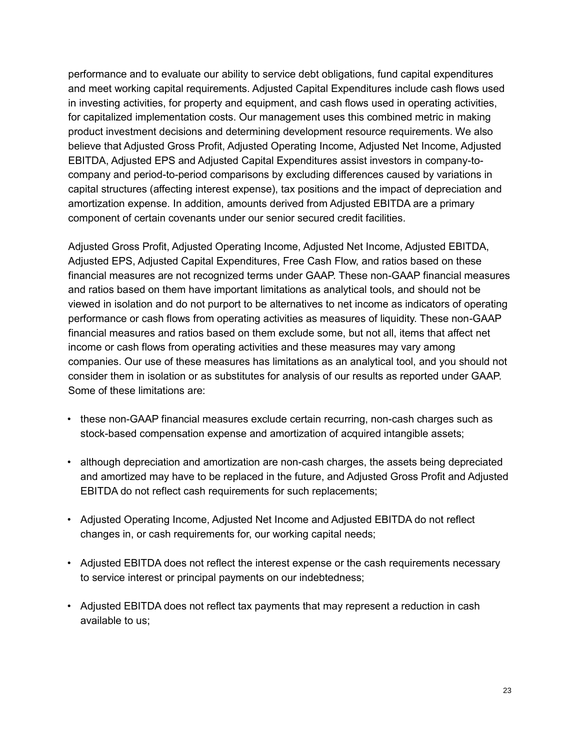performance and to evaluate our ability to service debt obligations, fund capital expenditures and meet working capital requirements. Adjusted Capital Expenditures include cash flows used in investing activities, for property and equipment, and cash flows used in operating activities, for capitalized implementation costs. Our management uses this combined metric in making product investment decisions and determining development resource requirements. We also believe that Adjusted Gross Profit, Adjusted Operating Income, Adjusted Net Income, Adjusted EBITDA, Adjusted EPS and Adjusted Capital Expenditures assist investors in company-tocompany and period-to-period comparisons by excluding differences caused by variations in capital structures (affecting interest expense), tax positions and the impact of depreciation and amortization expense. In addition, amounts derived from Adjusted EBITDA are a primary component of certain covenants under our senior secured credit facilities.

Adjusted Gross Profit, Adjusted Operating Income, Adjusted Net Income, Adjusted EBITDA, Adjusted EPS, Adjusted Capital Expenditures, Free Cash Flow, and ratios based on these financial measures are not recognized terms under GAAP. These non-GAAP financial measures and ratios based on them have important limitations as analytical tools, and should not be viewed in isolation and do not purport to be alternatives to net income as indicators of operating performance or cash flows from operating activities as measures of liquidity. These non-GAAP financial measures and ratios based on them exclude some, but not all, items that affect net income or cash flows from operating activities and these measures may vary among companies. Our use of these measures has limitations as an analytical tool, and you should not consider them in isolation or as substitutes for analysis of our results as reported under GAAP. Some of these limitations are:

- these non-GAAP financial measures exclude certain recurring, non-cash charges such as stock-based compensation expense and amortization of acquired intangible assets;
- although depreciation and amortization are non-cash charges, the assets being depreciated and amortized may have to be replaced in the future, and Adjusted Gross Profit and Adjusted EBITDA do not reflect cash requirements for such replacements;
- Adjusted Operating Income, Adjusted Net Income and Adjusted EBITDA do not reflect changes in, or cash requirements for, our working capital needs;
- Adjusted EBITDA does not reflect the interest expense or the cash requirements necessary to service interest or principal payments on our indebtedness;
- Adjusted EBITDA does not reflect tax payments that may represent a reduction in cash available to us;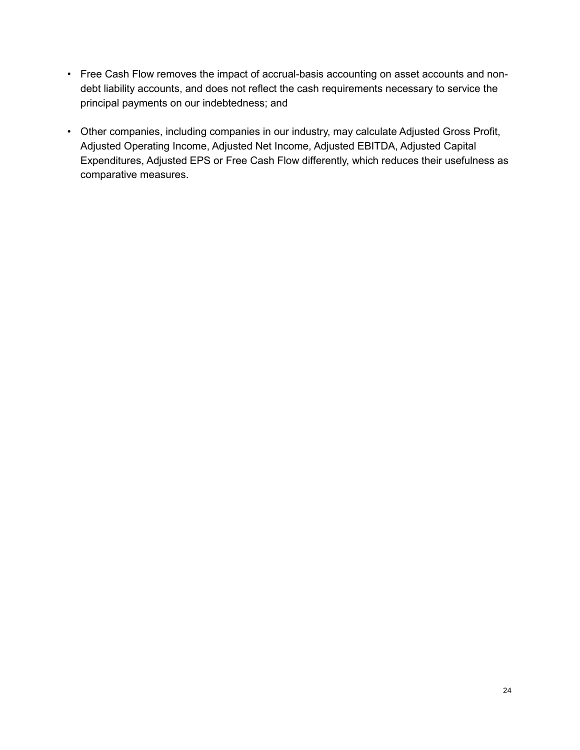- Free Cash Flow removes the impact of accrual-basis accounting on asset accounts and nondebt liability accounts, and does not reflect the cash requirements necessary to service the principal payments on our indebtedness; and
- Other companies, including companies in our industry, may calculate Adjusted Gross Profit, Adjusted Operating Income, Adjusted Net Income, Adjusted EBITDA, Adjusted Capital Expenditures, Adjusted EPS or Free Cash Flow differently, which reduces their usefulness as comparative measures.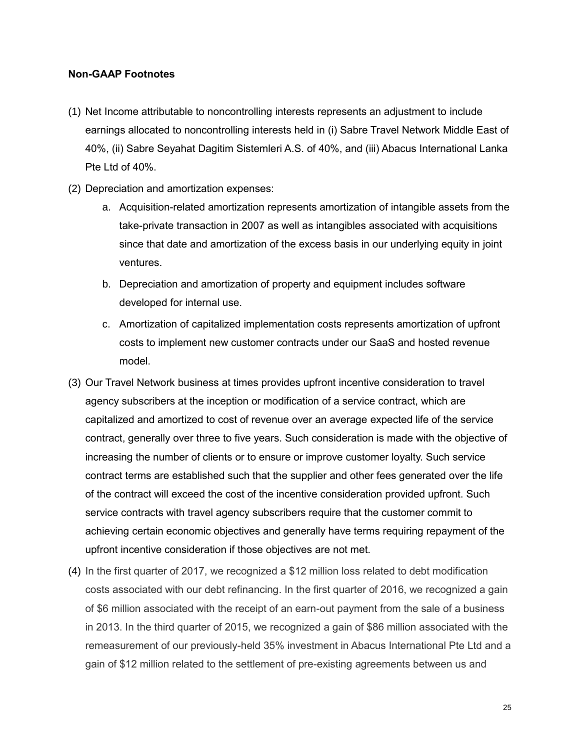### **Non-GAAP Footnotes**

- (1) Net Income attributable to noncontrolling interests represents an adjustment to include earnings allocated to noncontrolling interests held in (i) Sabre Travel Network Middle East of 40%, (ii) Sabre Seyahat Dagitim Sistemleri A.S. of 40%, and (iii) Abacus International Lanka Pte Ltd of 40%.
- (2) Depreciation and amortization expenses:
	- a. Acquisition-related amortization represents amortization of intangible assets from the take-private transaction in 2007 as well as intangibles associated with acquisitions since that date and amortization of the excess basis in our underlying equity in joint ventures.
	- b. Depreciation and amortization of property and equipment includes software developed for internal use.
	- c. Amortization of capitalized implementation costs represents amortization of upfront costs to implement new customer contracts under our SaaS and hosted revenue model.
- (3) Our Travel Network business at times provides upfront incentive consideration to travel agency subscribers at the inception or modification of a service contract, which are capitalized and amortized to cost of revenue over an average expected life of the service contract, generally over three to five years. Such consideration is made with the objective of increasing the number of clients or to ensure or improve customer loyalty. Such service contract terms are established such that the supplier and other fees generated over the life of the contract will exceed the cost of the incentive consideration provided upfront. Such service contracts with travel agency subscribers require that the customer commit to achieving certain economic objectives and generally have terms requiring repayment of the upfront incentive consideration if those objectives are not met.
- (4) In the first quarter of 2017, we recognized a \$12 million loss related to debt modification costs associated with our debt refinancing. In the first quarter of 2016, we recognized a gain of \$6 million associated with the receipt of an earn-out payment from the sale of a business in 2013. In the third quarter of 2015, we recognized a gain of \$86 million associated with the remeasurement of our previously-held 35% investment in Abacus International Pte Ltd and a gain of \$12 million related to the settlement of pre-existing agreements between us and